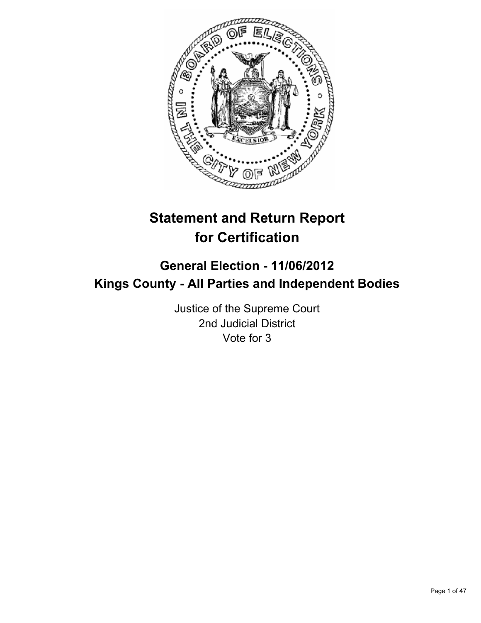

# **Statement and Return Report for Certification**

# **General Election - 11/06/2012 Kings County - All Parties and Independent Bodies**

Justice of the Supreme Court 2nd Judicial District Vote for 3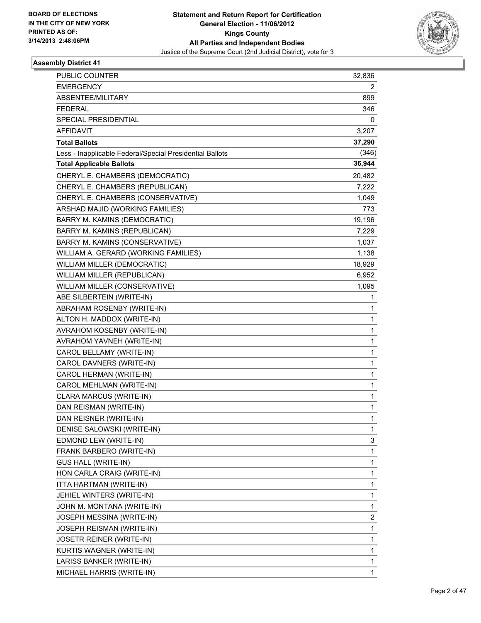

| PUBLIC COUNTER                                           | 32,836                  |
|----------------------------------------------------------|-------------------------|
| <b>EMERGENCY</b>                                         | 2                       |
| ABSENTEE/MILITARY                                        | 899                     |
| <b>FEDERAL</b>                                           | 346                     |
| SPECIAL PRESIDENTIAL                                     | 0                       |
| AFFIDAVIT                                                | 3,207                   |
| <b>Total Ballots</b>                                     | 37,290                  |
| Less - Inapplicable Federal/Special Presidential Ballots | (346)                   |
| <b>Total Applicable Ballots</b>                          | 36,944                  |
| CHERYL E. CHAMBERS (DEMOCRATIC)                          | 20,482                  |
| CHERYL E. CHAMBERS (REPUBLICAN)                          | 7,222                   |
| CHERYL E. CHAMBERS (CONSERVATIVE)                        | 1,049                   |
| ARSHAD MAJID (WORKING FAMILIES)                          | 773                     |
| BARRY M. KAMINS (DEMOCRATIC)                             | 19,196                  |
| BARRY M. KAMINS (REPUBLICAN)                             | 7,229                   |
| BARRY M. KAMINS (CONSERVATIVE)                           | 1,037                   |
| WILLIAM A. GERARD (WORKING FAMILIES)                     | 1,138                   |
| WILLIAM MILLER (DEMOCRATIC)                              | 18,929                  |
| WILLIAM MILLER (REPUBLICAN)                              | 6,952                   |
| WILLIAM MILLER (CONSERVATIVE)                            | 1,095                   |
| ABE SILBERTEIN (WRITE-IN)                                | 1                       |
| ABRAHAM ROSENBY (WRITE-IN)                               | 1                       |
| ALTON H. MADDOX (WRITE-IN)                               | 1                       |
| AVRAHOM KOSENBY (WRITE-IN)                               | 1                       |
| AVRAHOM YAVNEH (WRITE-IN)                                | 1                       |
| CAROL BELLAMY (WRITE-IN)                                 | 1                       |
| CAROL DAVNERS (WRITE-IN)                                 | 1                       |
| CAROL HERMAN (WRITE-IN)                                  | 1                       |
| CAROL MEHLMAN (WRITE-IN)                                 | 1                       |
| CLARA MARCUS (WRITE-IN)                                  | 1                       |
| DAN REISMAN (WRITE-IN)                                   | 1                       |
| DAN REISNER (WRITE-IN)                                   | 1                       |
| DENISE SALOWSKI (WRITE-IN)                               | 1                       |
| EDMOND LEW (WRITE-IN)                                    | 3                       |
| FRANK BARBERO (WRITE-IN)                                 | 1                       |
| <b>GUS HALL (WRITE-IN)</b>                               | 1                       |
| HON CARLA CRAIG (WRITE-IN)                               | 1                       |
| ITTA HARTMAN (WRITE-IN)                                  | 1                       |
| JEHIEL WINTERS (WRITE-IN)                                | 1                       |
| JOHN M. MONTANA (WRITE-IN)                               | 1                       |
| JOSEPH MESSINA (WRITE-IN)                                | $\overline{\mathbf{c}}$ |
| JOSEPH REISMAN (WRITE-IN)                                | 1                       |
| <b>JOSETR REINER (WRITE-IN)</b>                          | 1                       |
| KURTIS WAGNER (WRITE-IN)                                 | 1                       |
| LARISS BANKER (WRITE-IN)                                 | 1                       |
| MICHAEL HARRIS (WRITE-IN)                                | 1                       |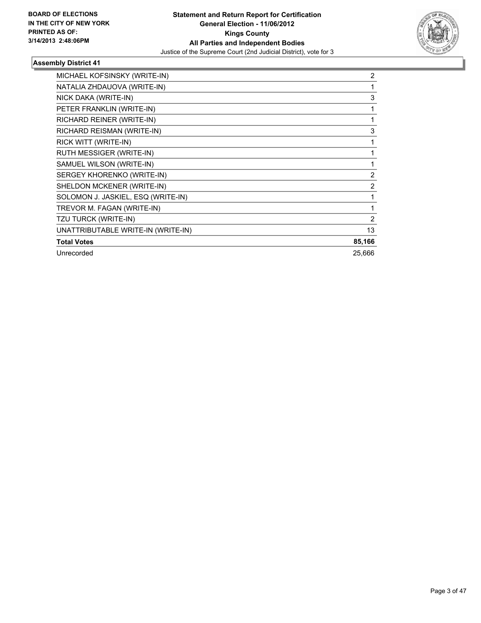

| MICHAEL KOFSINSKY (WRITE-IN)       | 2              |
|------------------------------------|----------------|
| NATALIA ZHDAUOVA (WRITE-IN)        |                |
| NICK DAKA (WRITE-IN)               | 3              |
| PETER FRANKLIN (WRITE-IN)          |                |
| RICHARD REINER (WRITE-IN)          | 1              |
| RICHARD REISMAN (WRITE-IN)         | 3              |
| RICK WITT (WRITE-IN)               |                |
| RUTH MESSIGER (WRITE-IN)           |                |
| SAMUEL WILSON (WRITE-IN)           |                |
| SERGEY KHORENKO (WRITE-IN)         | $\overline{2}$ |
| SHELDON MCKENER (WRITE-IN)         | 2              |
| SOLOMON J. JASKIEL, ESQ (WRITE-IN) | 1              |
| TREVOR M. FAGAN (WRITE-IN)         |                |
| TZU TURCK (WRITE-IN)               | 2              |
| UNATTRIBUTABLE WRITE-IN (WRITE-IN) | 13             |
| <b>Total Votes</b>                 | 85,166         |
| Unrecorded                         | 25,666         |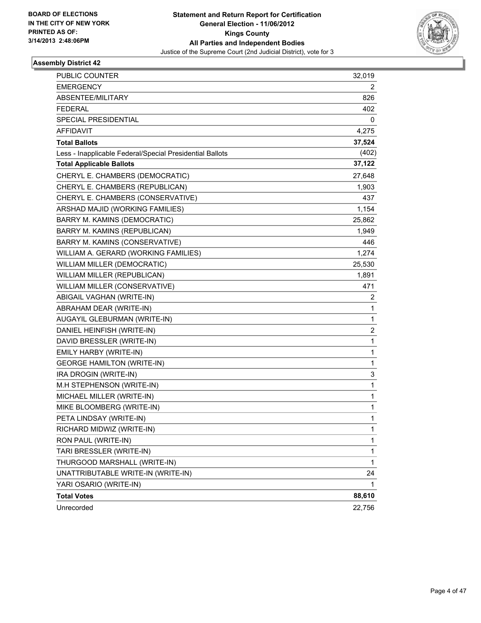

| PUBLIC COUNTER                                           | 32,019 |
|----------------------------------------------------------|--------|
| <b>EMERGENCY</b>                                         | 2      |
| ABSENTEE/MILITARY                                        | 826    |
| <b>FEDERAL</b>                                           | 402    |
| SPECIAL PRESIDENTIAL                                     | 0      |
| AFFIDAVIT                                                | 4,275  |
| <b>Total Ballots</b>                                     | 37,524 |
| Less - Inapplicable Federal/Special Presidential Ballots | (402)  |
| <b>Total Applicable Ballots</b>                          | 37,122 |
| CHERYL E. CHAMBERS (DEMOCRATIC)                          | 27,648 |
| CHERYL E. CHAMBERS (REPUBLICAN)                          | 1,903  |
| CHERYL E. CHAMBERS (CONSERVATIVE)                        | 437    |
| ARSHAD MAJID (WORKING FAMILIES)                          | 1,154  |
| BARRY M. KAMINS (DEMOCRATIC)                             | 25,862 |
| BARRY M. KAMINS (REPUBLICAN)                             | 1,949  |
| BARRY M. KAMINS (CONSERVATIVE)                           | 446    |
| WILLIAM A. GERARD (WORKING FAMILIES)                     | 1,274  |
| WILLIAM MILLER (DEMOCRATIC)                              | 25,530 |
| WILLIAM MILLER (REPUBLICAN)                              | 1,891  |
| WILLIAM MILLER (CONSERVATIVE)                            | 471    |
| ABIGAIL VAGHAN (WRITE-IN)                                | 2      |
| ABRAHAM DEAR (WRITE-IN)                                  | 1      |
| AUGAYIL GLEBURMAN (WRITE-IN)                             | 1      |
| DANIEL HEINFISH (WRITE-IN)                               | 2      |
| DAVID BRESSLER (WRITE-IN)                                | 1      |
| EMILY HARBY (WRITE-IN)                                   | 1      |
| <b>GEORGE HAMILTON (WRITE-IN)</b>                        | 1      |
| IRA DROGIN (WRITE-IN)                                    | 3      |
| M.H STEPHENSON (WRITE-IN)                                | 1      |
| MICHAEL MILLER (WRITE-IN)                                | 1      |
| MIKE BLOOMBERG (WRITE-IN)                                | 1      |
| PETA LINDSAY (WRITE-IN)                                  | 1      |
| RICHARD MIDWIZ (WRITE-IN)                                | 1      |
| RON PAUL (WRITE-IN)                                      | 1      |
| TARI BRESSLER (WRITE-IN)                                 | 1      |
| THURGOOD MARSHALL (WRITE-IN)                             | 1      |
| UNATTRIBUTABLE WRITE-IN (WRITE-IN)                       | 24     |
| YARI OSARIO (WRITE-IN)                                   | 1      |
| <b>Total Votes</b>                                       | 88,610 |
| Unrecorded                                               | 22,756 |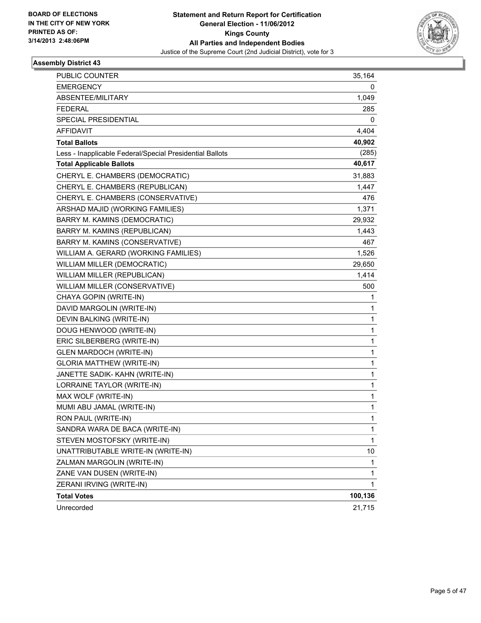

| PUBLIC COUNTER                                           | 35,164       |
|----------------------------------------------------------|--------------|
| <b>EMERGENCY</b>                                         | 0            |
| ABSENTEE/MILITARY                                        | 1,049        |
| <b>FEDERAL</b>                                           | 285          |
| <b>SPECIAL PRESIDENTIAL</b>                              | 0            |
| <b>AFFIDAVIT</b>                                         | 4,404        |
| <b>Total Ballots</b>                                     | 40,902       |
| Less - Inapplicable Federal/Special Presidential Ballots | (285)        |
| <b>Total Applicable Ballots</b>                          | 40,617       |
| CHERYL E. CHAMBERS (DEMOCRATIC)                          | 31,883       |
| CHERYL E. CHAMBERS (REPUBLICAN)                          | 1,447        |
| CHERYL E. CHAMBERS (CONSERVATIVE)                        | 476          |
| ARSHAD MAJID (WORKING FAMILIES)                          | 1,371        |
| BARRY M. KAMINS (DEMOCRATIC)                             | 29,932       |
| BARRY M. KAMINS (REPUBLICAN)                             | 1,443        |
| BARRY M. KAMINS (CONSERVATIVE)                           | 467          |
| WILLIAM A. GERARD (WORKING FAMILIES)                     | 1,526        |
| WILLIAM MILLER (DEMOCRATIC)                              | 29,650       |
| WILLIAM MILLER (REPUBLICAN)                              | 1,414        |
| WILLIAM MILLER (CONSERVATIVE)                            | 500          |
| CHAYA GOPIN (WRITE-IN)                                   | 1            |
| DAVID MARGOLIN (WRITE-IN)                                | 1            |
| DEVIN BALKING (WRITE-IN)                                 | 1            |
| DOUG HENWOOD (WRITE-IN)                                  | 1            |
| ERIC SILBERBERG (WRITE-IN)                               | 1            |
| <b>GLEN MARDOCH (WRITE-IN)</b>                           | 1            |
| <b>GLORIA MATTHEW (WRITE-IN)</b>                         | 1            |
| JANETTE SADIK- KAHN (WRITE-IN)                           | 1            |
| LORRAINE TAYLOR (WRITE-IN)                               | 1            |
| MAX WOLF (WRITE-IN)                                      | 1            |
| MUMI ABU JAMAL (WRITE-IN)                                | 1            |
| RON PAUL (WRITE-IN)                                      | 1            |
| SANDRA WARA DE BACA (WRITE-IN)                           | 1            |
| STEVEN MOSTOFSKY (WRITE-IN)                              | $\mathbf{1}$ |
| UNATTRIBUTABLE WRITE-IN (WRITE-IN)                       | 10           |
| ZALMAN MARGOLIN (WRITE-IN)                               | 1            |
| ZANE VAN DUSEN (WRITE-IN)                                | 1            |
| ZERANI IRVING (WRITE-IN)                                 | 1            |
| <b>Total Votes</b>                                       | 100,136      |
| Unrecorded                                               | 21,715       |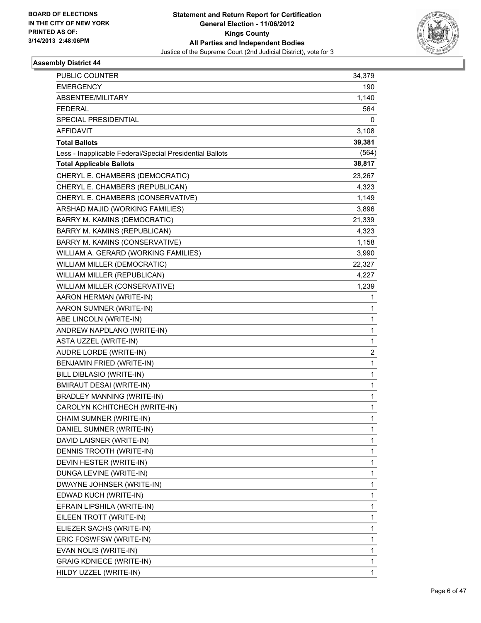

| PUBLIC COUNTER                                           |               |
|----------------------------------------------------------|---------------|
| <b>EMERGENCY</b>                                         | 34,379<br>190 |
| ABSENTEE/MILITARY                                        | 1,140         |
| <b>FEDERAL</b>                                           | 564           |
| SPECIAL PRESIDENTIAL                                     | 0             |
| AFFIDAVIT                                                | 3,108         |
| <b>Total Ballots</b>                                     | 39,381        |
| Less - Inapplicable Federal/Special Presidential Ballots | (564)         |
| <b>Total Applicable Ballots</b>                          | 38,817        |
| CHERYL E. CHAMBERS (DEMOCRATIC)                          | 23,267        |
| CHERYL E. CHAMBERS (REPUBLICAN)                          | 4,323         |
| CHERYL E. CHAMBERS (CONSERVATIVE)                        | 1,149         |
| ARSHAD MAJID (WORKING FAMILIES)                          | 3,896         |
| BARRY M. KAMINS (DEMOCRATIC)                             | 21,339        |
| BARRY M. KAMINS (REPUBLICAN)                             | 4,323         |
| BARRY M. KAMINS (CONSERVATIVE)                           | 1,158         |
| WILLIAM A. GERARD (WORKING FAMILIES)                     | 3,990         |
| WILLIAM MILLER (DEMOCRATIC)                              | 22,327        |
| WILLIAM MILLER (REPUBLICAN)                              | 4,227         |
| WILLIAM MILLER (CONSERVATIVE)                            | 1,239         |
| AARON HERMAN (WRITE-IN)                                  | 1             |
| AARON SUMNER (WRITE-IN)                                  | 1             |
| ABE LINCOLN (WRITE-IN)                                   | 1             |
| ANDREW NAPDLANO (WRITE-IN)                               | 1             |
| ASTA UZZEL (WRITE-IN)                                    | 1             |
| AUDRE LORDE (WRITE-IN)                                   | 2             |
| BENJAMIN FRIED (WRITE-IN)                                | 1             |
| BILL DIBLASIO (WRITE-IN)                                 | 1             |
| <b>BMIRAUT DESAI (WRITE-IN)</b>                          | 1             |
| <b>BRADLEY MANNING (WRITE-IN)</b>                        | 1             |
| CAROLYN KCHITCHECH (WRITE-IN)                            | 1             |
| CHAIM SUMNER (WRITE-IN)                                  | 1             |
| DANIEL SUMNER (WRITE-IN)                                 | 1             |
| DAVID LAISNER (WRITE-IN)                                 | 1             |
| DENNIS TROOTH (WRITE-IN)                                 | 1             |
| DEVIN HESTER (WRITE-IN)                                  | 1             |
| DUNGA LEVINE (WRITE-IN)                                  | 1             |
| DWAYNE JOHNSER (WRITE-IN)                                | 1             |
| EDWAD KUCH (WRITE-IN)                                    | 1             |
| EFRAIN LIPSHILA (WRITE-IN)                               | 1             |
| EILEEN TROTT (WRITE-IN)                                  | 1             |
| ELIEZER SACHS (WRITE-IN)                                 | 1             |
| ERIC FOSWFSW (WRITE-IN)                                  | 1             |
| EVAN NOLIS (WRITE-IN)                                    | 1             |
| <b>GRAIG KDNIECE (WRITE-IN)</b>                          | 1             |
| HILDY UZZEL (WRITE-IN)                                   | 1             |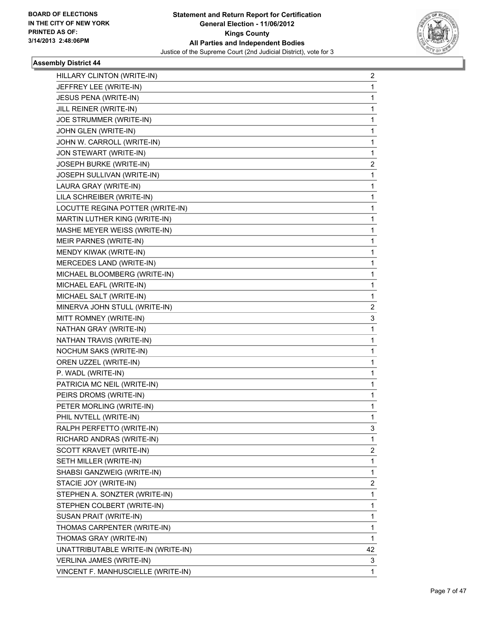

| HILLARY CLINTON (WRITE-IN)         | 2  |
|------------------------------------|----|
| JEFFREY LEE (WRITE-IN)             | 1  |
| JESUS PENA (WRITE-IN)              | 1  |
| JILL REINER (WRITE-IN)             | 1  |
| JOE STRUMMER (WRITE-IN)            | 1  |
| JOHN GLEN (WRITE-IN)               | 1  |
| JOHN W. CARROLL (WRITE-IN)         | 1  |
| JON STEWART (WRITE-IN)             | 1  |
| JOSEPH BURKE (WRITE-IN)            | 2  |
| JOSEPH SULLIVAN (WRITE-IN)         | 1  |
| LAURA GRAY (WRITE-IN)              | 1  |
| LILA SCHREIBER (WRITE-IN)          | 1  |
| LOCUTTE REGINA POTTER (WRITE-IN)   | 1  |
| MARTIN LUTHER KING (WRITE-IN)      | 1  |
| MASHE MEYER WEISS (WRITE-IN)       | 1  |
| MEIR PARNES (WRITE-IN)             | 1  |
| MENDY KIWAK (WRITE-IN)             | 1  |
| MERCEDES LAND (WRITE-IN)           | 1  |
| MICHAEL BLOOMBERG (WRITE-IN)       | 1  |
| MICHAEL EAFL (WRITE-IN)            | 1  |
| MICHAEL SALT (WRITE-IN)            | 1  |
| MINERVA JOHN STULL (WRITE-IN)      | 2  |
| MITT ROMNEY (WRITE-IN)             | 3  |
| NATHAN GRAY (WRITE-IN)             | 1  |
| NATHAN TRAVIS (WRITE-IN)           | 1  |
| NOCHUM SAKS (WRITE-IN)             | 1  |
| OREN UZZEL (WRITE-IN)              | 1  |
| P. WADL (WRITE-IN)                 | 1  |
| PATRICIA MC NEIL (WRITE-IN)        | 1  |
| PEIRS DROMS (WRITE-IN)             | 1  |
| PETER MORLING (WRITE-IN)           | 1  |
| PHIL NVTELL (WRITE-IN)             | 1  |
| RALPH PERFETTO (WRITE-IN)          | 3  |
| RICHARD ANDRAS (WRITE-IN)          | 1  |
| SCOTT KRAVET (WRITE-IN)            | 2  |
| SETH MILLER (WRITE-IN)             | 1  |
| SHABSI GANZWEIG (WRITE-IN)         | 1  |
| STACIE JOY (WRITE-IN)              | 2  |
| STEPHEN A. SONZTER (WRITE-IN)      | 1  |
| STEPHEN COLBERT (WRITE-IN)         | 1  |
| SUSAN PRAIT (WRITE-IN)             | 1  |
| THOMAS CARPENTER (WRITE-IN)        | 1  |
| THOMAS GRAY (WRITE-IN)             | 1  |
| UNATTRIBUTABLE WRITE-IN (WRITE-IN) | 42 |
| VERLINA JAMES (WRITE-IN)           | 3  |
| VINCENT F. MANHUSCIELLE (WRITE-IN) | 1  |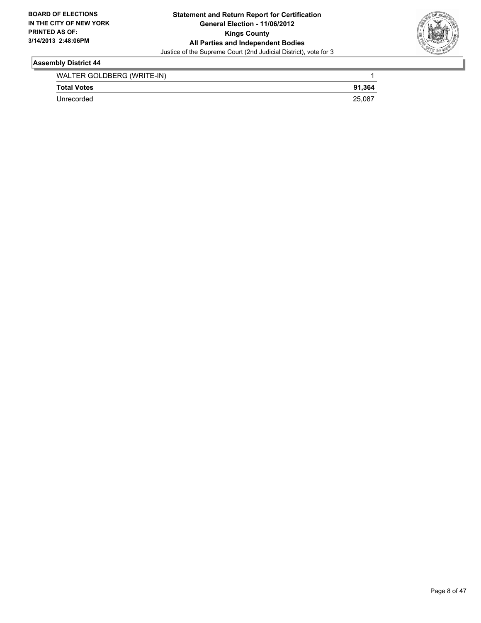

| WALTER GOLDBERG (WRITE-IN) |        |
|----------------------------|--------|
| <b>Total Votes</b>         | 91.364 |
| Unrecorded                 | 25,087 |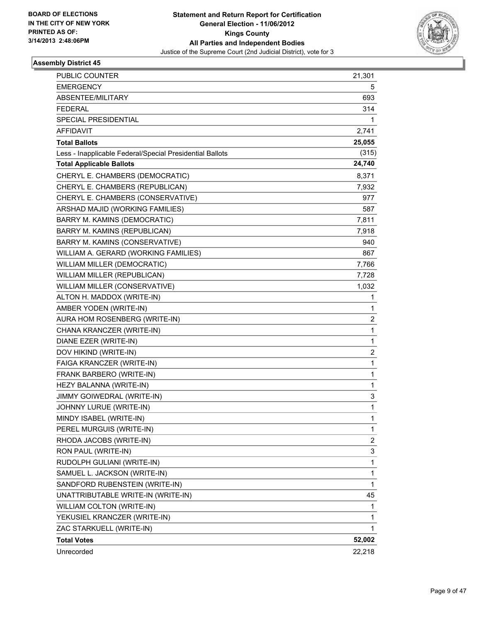

| <b>PUBLIC COUNTER</b>                                    | 21,301 |
|----------------------------------------------------------|--------|
| <b>EMERGENCY</b>                                         | 5      |
| ABSENTEE/MILITARY                                        | 693    |
| <b>FEDERAL</b>                                           | 314    |
| SPECIAL PRESIDENTIAL                                     | 1      |
| AFFIDAVIT                                                | 2,741  |
| <b>Total Ballots</b>                                     | 25,055 |
| Less - Inapplicable Federal/Special Presidential Ballots | (315)  |
| <b>Total Applicable Ballots</b>                          | 24,740 |
| CHERYL E. CHAMBERS (DEMOCRATIC)                          | 8,371  |
| CHERYL E. CHAMBERS (REPUBLICAN)                          | 7,932  |
| CHERYL E. CHAMBERS (CONSERVATIVE)                        | 977    |
| ARSHAD MAJID (WORKING FAMILIES)                          | 587    |
| BARRY M. KAMINS (DEMOCRATIC)                             | 7,811  |
| BARRY M. KAMINS (REPUBLICAN)                             | 7,918  |
| BARRY M. KAMINS (CONSERVATIVE)                           | 940    |
| WILLIAM A. GERARD (WORKING FAMILIES)                     | 867    |
| WILLIAM MILLER (DEMOCRATIC)                              | 7,766  |
| WILLIAM MILLER (REPUBLICAN)                              | 7,728  |
| WILLIAM MILLER (CONSERVATIVE)                            | 1,032  |
| ALTON H. MADDOX (WRITE-IN)                               | 1      |
| AMBER YODEN (WRITE-IN)                                   | 1      |
| AURA HOM ROSENBERG (WRITE-IN)                            | 2      |
| CHANA KRANCZER (WRITE-IN)                                | 1      |
| DIANE EZER (WRITE-IN)                                    | 1      |
| DOV HIKIND (WRITE-IN)                                    | 2      |
| FAIGA KRANCZER (WRITE-IN)                                | 1      |
| FRANK BARBERO (WRITE-IN)                                 | 1      |
| HEZY BALANNA (WRITE-IN)                                  | 1      |
| JIMMY GOIWEDRAL (WRITE-IN)                               | 3      |
| JOHNNY LURUE (WRITE-IN)                                  | 1      |
| MINDY ISABEL (WRITE-IN)                                  | 1      |
| PEREL MURGUIS (WRITE-IN)                                 | 1      |
| RHODA JACOBS (WRITE-IN)                                  | 2      |
| RON PAUL (WRITE-IN)                                      | 3      |
| RUDOLPH GULIANI (WRITE-IN)                               | 1      |
| SAMUEL L. JACKSON (WRITE-IN)                             | 1      |
| SANDFORD RUBENSTEIN (WRITE-IN)                           | 1      |
| UNATTRIBUTABLE WRITE-IN (WRITE-IN)                       | 45     |
| WILLIAM COLTON (WRITE-IN)                                | 1      |
| YEKUSIEL KRANCZER (WRITE-IN)                             | 1      |
| ZAC STARKUELL (WRITE-IN)                                 | 1      |
| <b>Total Votes</b>                                       | 52,002 |
| Unrecorded                                               | 22,218 |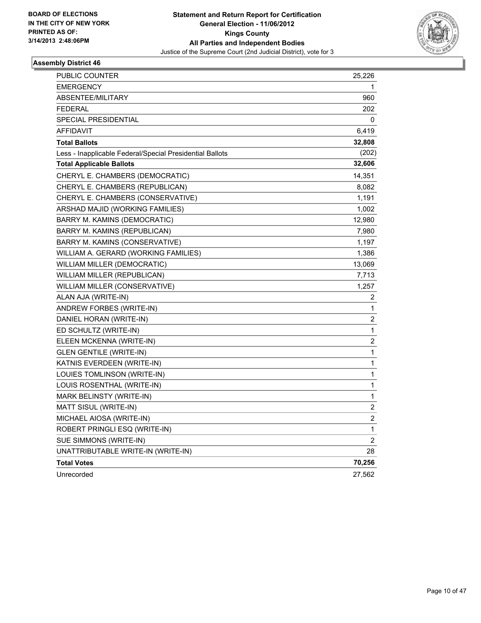

| PUBLIC COUNTER                                           | 25,226                  |
|----------------------------------------------------------|-------------------------|
| <b>EMERGENCY</b>                                         | 1                       |
| ABSENTEE/MILITARY                                        | 960                     |
| <b>FEDERAL</b>                                           | 202                     |
| SPECIAL PRESIDENTIAL                                     | 0                       |
| AFFIDAVIT                                                | 6,419                   |
| <b>Total Ballots</b>                                     | 32,808                  |
| Less - Inapplicable Federal/Special Presidential Ballots | (202)                   |
| <b>Total Applicable Ballots</b>                          | 32,606                  |
| CHERYL E. CHAMBERS (DEMOCRATIC)                          | 14,351                  |
| CHERYL E. CHAMBERS (REPUBLICAN)                          | 8,082                   |
| CHERYL E. CHAMBERS (CONSERVATIVE)                        | 1,191                   |
| ARSHAD MAJID (WORKING FAMILIES)                          | 1,002                   |
| BARRY M. KAMINS (DEMOCRATIC)                             | 12,980                  |
| BARRY M. KAMINS (REPUBLICAN)                             | 7,980                   |
| BARRY M. KAMINS (CONSERVATIVE)                           | 1,197                   |
| WILLIAM A. GERARD (WORKING FAMILIES)                     | 1,386                   |
| WILLIAM MILLER (DEMOCRATIC)                              | 13,069                  |
| WILLIAM MILLER (REPUBLICAN)                              | 7,713                   |
| WILLIAM MILLER (CONSERVATIVE)                            | 1,257                   |
| ALAN AJA (WRITE-IN)                                      | 2                       |
| ANDREW FORBES (WRITE-IN)                                 | 1                       |
| DANIEL HORAN (WRITE-IN)                                  | 2                       |
| ED SCHULTZ (WRITE-IN)                                    | 1                       |
| ELEEN MCKENNA (WRITE-IN)                                 | 2                       |
| <b>GLEN GENTILE (WRITE-IN)</b>                           | 1                       |
| KATNIS EVERDEEN (WRITE-IN)                               | 1                       |
| LOUIES TOMLINSON (WRITE-IN)                              | 1                       |
| LOUIS ROSENTHAL (WRITE-IN)                               | 1                       |
| MARK BELINSTY (WRITE-IN)                                 | 1                       |
| MATT SISUL (WRITE-IN)                                    | 2                       |
| MICHAEL AIOSA (WRITE-IN)                                 | $\overline{\mathbf{c}}$ |
| ROBERT PRINGLI ESQ (WRITE-IN)                            | 1                       |
| SUE SIMMONS (WRITE-IN)                                   | 2                       |
| UNATTRIBUTABLE WRITE-IN (WRITE-IN)                       | 28                      |
| <b>Total Votes</b>                                       | 70,256                  |
| Unrecorded                                               | 27,562                  |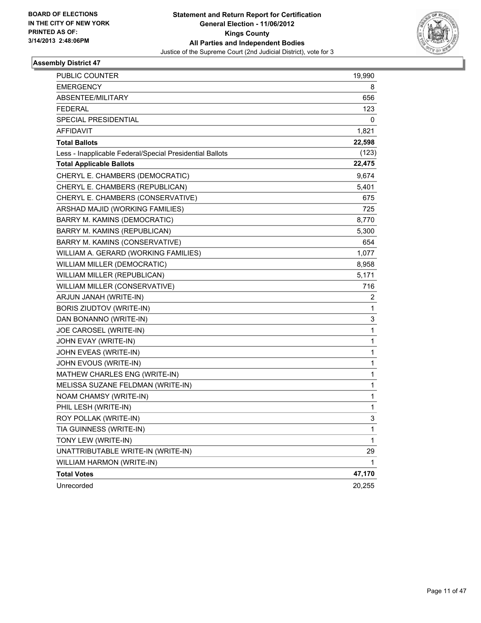

| PUBLIC COUNTER                                           | 19,990 |
|----------------------------------------------------------|--------|
| <b>EMERGENCY</b>                                         | 8      |
| ABSENTEE/MILITARY                                        | 656    |
| <b>FEDERAL</b>                                           | 123    |
| SPECIAL PRESIDENTIAL                                     | 0      |
| <b>AFFIDAVIT</b>                                         | 1,821  |
| <b>Total Ballots</b>                                     | 22,598 |
| Less - Inapplicable Federal/Special Presidential Ballots | (123)  |
| <b>Total Applicable Ballots</b>                          | 22,475 |
| CHERYL E. CHAMBERS (DEMOCRATIC)                          | 9,674  |
| CHERYL E. CHAMBERS (REPUBLICAN)                          | 5,401  |
| CHERYL E. CHAMBERS (CONSERVATIVE)                        | 675    |
| ARSHAD MAJID (WORKING FAMILIES)                          | 725    |
| BARRY M. KAMINS (DEMOCRATIC)                             | 8,770  |
| BARRY M. KAMINS (REPUBLICAN)                             | 5,300  |
| BARRY M. KAMINS (CONSERVATIVE)                           | 654    |
| WILLIAM A. GERARD (WORKING FAMILIES)                     | 1,077  |
| WILLIAM MILLER (DEMOCRATIC)                              | 8,958  |
| WILLIAM MILLER (REPUBLICAN)                              | 5,171  |
| WILLIAM MILLER (CONSERVATIVE)                            | 716    |
| ARJUN JANAH (WRITE-IN)                                   | 2      |
| BORIS ZIUDTOV (WRITE-IN)                                 | 1      |
| DAN BONANNO (WRITE-IN)                                   | 3      |
| JOE CAROSEL (WRITE-IN)                                   | 1      |
| JOHN EVAY (WRITE-IN)                                     | 1      |
| JOHN EVEAS (WRITE-IN)                                    | 1      |
| JOHN EVOUS (WRITE-IN)                                    | 1      |
| MATHEW CHARLES ENG (WRITE-IN)                            | 1      |
| MELISSA SUZANE FELDMAN (WRITE-IN)                        | 1      |
| NOAM CHAMSY (WRITE-IN)                                   | 1      |
| PHIL LESH (WRITE-IN)                                     | 1      |
| ROY POLLAK (WRITE-IN)                                    | 3      |
| TIA GUINNESS (WRITE-IN)                                  | 1      |
| TONY LEW (WRITE-IN)                                      | 1      |
| UNATTRIBUTABLE WRITE-IN (WRITE-IN)                       | 29     |
| WILLIAM HARMON (WRITE-IN)                                | 1      |
| <b>Total Votes</b>                                       | 47,170 |
| Unrecorded                                               | 20,255 |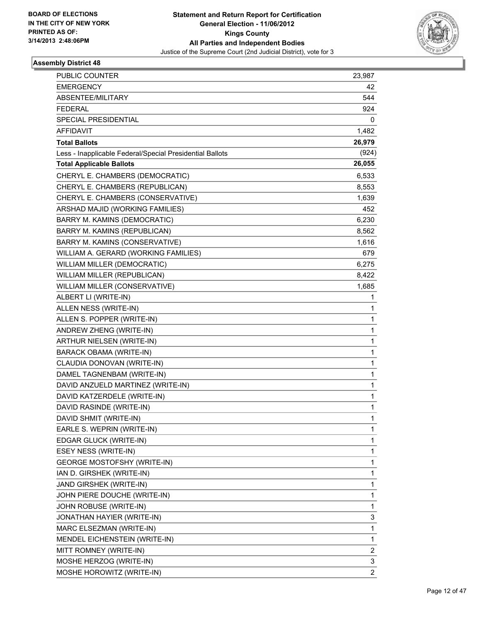

| <b>PUBLIC COUNTER</b>                                    | 23,987         |
|----------------------------------------------------------|----------------|
| <b>EMERGENCY</b>                                         | 42             |
| ABSENTEE/MILITARY                                        | 544            |
| <b>FEDERAL</b>                                           | 924            |
| SPECIAL PRESIDENTIAL                                     | 0              |
| AFFIDAVIT                                                | 1,482          |
| <b>Total Ballots</b>                                     | 26,979         |
| Less - Inapplicable Federal/Special Presidential Ballots | (924)          |
| <b>Total Applicable Ballots</b>                          | 26,055         |
| CHERYL E. CHAMBERS (DEMOCRATIC)                          | 6,533          |
| CHERYL E. CHAMBERS (REPUBLICAN)                          | 8,553          |
| CHERYL E. CHAMBERS (CONSERVATIVE)                        | 1,639          |
| ARSHAD MAJID (WORKING FAMILIES)                          | 452            |
| BARRY M. KAMINS (DEMOCRATIC)                             | 6,230          |
| BARRY M. KAMINS (REPUBLICAN)                             | 8,562          |
| BARRY M. KAMINS (CONSERVATIVE)                           | 1,616          |
| WILLIAM A. GERARD (WORKING FAMILIES)                     | 679            |
| WILLIAM MILLER (DEMOCRATIC)                              | 6,275          |
| WILLIAM MILLER (REPUBLICAN)                              | 8,422          |
| WILLIAM MILLER (CONSERVATIVE)                            | 1,685          |
| ALBERT LI (WRITE-IN)                                     | 1              |
| ALLEN NESS (WRITE-IN)                                    | 1              |
| ALLEN S. POPPER (WRITE-IN)                               | 1              |
| ANDREW ZHENG (WRITE-IN)                                  | 1              |
| ARTHUR NIELSEN (WRITE-IN)                                | 1              |
| <b>BARACK OBAMA (WRITE-IN)</b>                           | 1              |
| CLAUDIA DONOVAN (WRITE-IN)                               | 1              |
| DAMEL TAGNENBAM (WRITE-IN)                               | 1              |
| DAVID ANZUELD MARTINEZ (WRITE-IN)                        | 1              |
| DAVID KATZERDELE (WRITE-IN)                              | 1              |
| DAVID RASINDE (WRITE-IN)                                 | 1              |
| DAVID SHMIT (WRITE-IN)                                   | 1              |
| EARLE S. WEPRIN (WRITE-IN)                               | 1              |
| EDGAR GLUCK (WRITE-IN)                                   | 1              |
| ESEY NESS (WRITE-IN)                                     | 1              |
| <b>GEORGE MOSTOFSHY (WRITE-IN)</b>                       | 1              |
| IAN D. GIRSHEK (WRITE-IN)                                | 1              |
| JAND GIRSHEK (WRITE-IN)                                  | 1              |
| JOHN PIERE DOUCHE (WRITE-IN)                             | 1              |
| JOHN ROBUSE (WRITE-IN)                                   | 1              |
| JONATHAN HAYIER (WRITE-IN)                               | 3              |
| MARC ELSEZMAN (WRITE-IN)                                 | 1              |
| MENDEL EICHENSTEIN (WRITE-IN)                            | 1              |
| MITT ROMNEY (WRITE-IN)                                   | 2              |
| MOSHE HERZOG (WRITE-IN)                                  | 3              |
| MOSHE HOROWITZ (WRITE-IN)                                | $\overline{c}$ |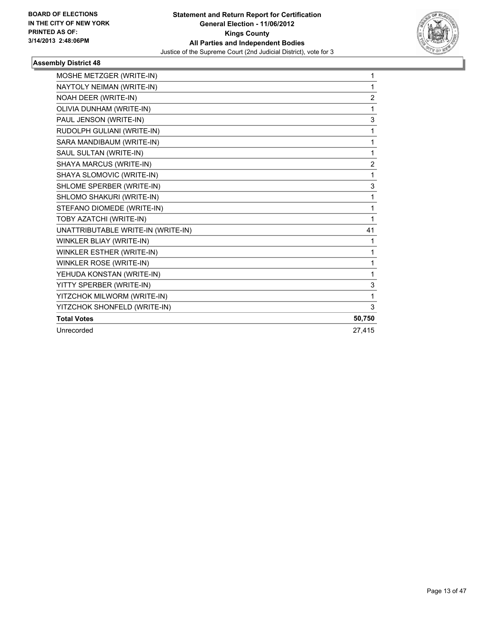

| MOSHE METZGER (WRITE-IN)           | 1              |
|------------------------------------|----------------|
| NAYTOLY NEIMAN (WRITE-IN)          | 1              |
| NOAH DEER (WRITE-IN)               | $\overline{2}$ |
| OLIVIA DUNHAM (WRITE-IN)           | 1              |
| PAUL JENSON (WRITE-IN)             | 3              |
| RUDOLPH GULIANI (WRITE-IN)         | 1              |
| SARA MANDIBAUM (WRITE-IN)          | 1              |
| SAUL SULTAN (WRITE-IN)             | 1              |
| SHAYA MARCUS (WRITE-IN)            | $\overline{2}$ |
| SHAYA SLOMOVIC (WRITE-IN)          | 1              |
| SHLOME SPERBER (WRITE-IN)          | 3              |
| SHLOMO SHAKURI (WRITE-IN)          | 1              |
| STEFANO DIOMEDE (WRITE-IN)         | 1              |
| TOBY AZATCHI (WRITE-IN)            | 1              |
| UNATTRIBUTABLE WRITE-IN (WRITE-IN) | 41             |
| WINKLER BLIAY (WRITE-IN)           | 1              |
| WINKLER ESTHER (WRITE-IN)          | 1              |
| WINKLER ROSE (WRITE-IN)            | 1              |
| YEHUDA KONSTAN (WRITE-IN)          | 1              |
| YITTY SPERBER (WRITE-IN)           | 3              |
| YITZCHOK MILWORM (WRITE-IN)        | 1              |
| YITZCHOK SHONFELD (WRITE-IN)       | 3              |
| <b>Total Votes</b>                 | 50,750         |
| Unrecorded                         | 27,415         |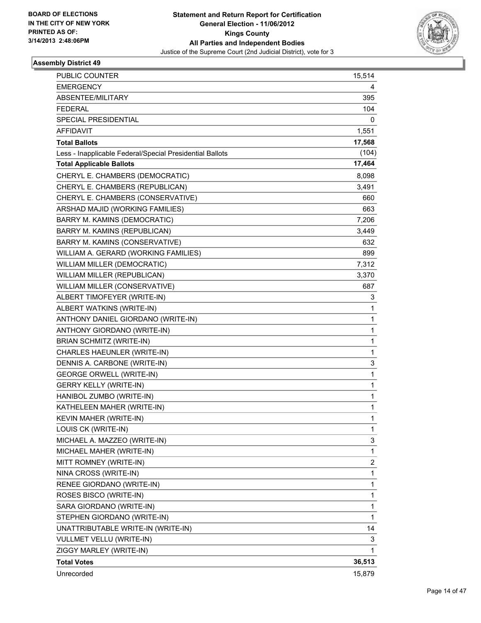

| <b>PUBLIC COUNTER</b>                                    | 15,514 |
|----------------------------------------------------------|--------|
| <b>EMERGENCY</b>                                         | 4      |
| ABSENTEE/MILITARY                                        | 395    |
| <b>FEDERAL</b>                                           | 104    |
| SPECIAL PRESIDENTIAL                                     | 0      |
| <b>AFFIDAVIT</b>                                         | 1,551  |
| <b>Total Ballots</b>                                     | 17,568 |
| Less - Inapplicable Federal/Special Presidential Ballots | (104)  |
| <b>Total Applicable Ballots</b>                          | 17,464 |
| CHERYL E. CHAMBERS (DEMOCRATIC)                          | 8,098  |
| CHERYL E. CHAMBERS (REPUBLICAN)                          | 3,491  |
| CHERYL E. CHAMBERS (CONSERVATIVE)                        | 660    |
| ARSHAD MAJID (WORKING FAMILIES)                          | 663    |
| BARRY M. KAMINS (DEMOCRATIC)                             | 7,206  |
| BARRY M. KAMINS (REPUBLICAN)                             | 3,449  |
| BARRY M. KAMINS (CONSERVATIVE)                           | 632    |
| WILLIAM A. GERARD (WORKING FAMILIES)                     | 899    |
| WILLIAM MILLER (DEMOCRATIC)                              | 7,312  |
| WILLIAM MILLER (REPUBLICAN)                              | 3,370  |
| WILLIAM MILLER (CONSERVATIVE)                            | 687    |
| ALBERT TIMOFEYER (WRITE-IN)                              | 3      |
| ALBERT WATKINS (WRITE-IN)                                | 1      |
| ANTHONY DANIEL GIORDANO (WRITE-IN)                       | 1      |
| ANTHONY GIORDANO (WRITE-IN)                              | 1      |
| <b>BRIAN SCHMITZ (WRITE-IN)</b>                          | 1      |
| CHARLES HAEUNLER (WRITE-IN)                              | 1      |
| DENNIS A. CARBONE (WRITE-IN)                             | 3      |
| <b>GEORGE ORWELL (WRITE-IN)</b>                          | 1      |
| <b>GERRY KELLY (WRITE-IN)</b>                            | 1      |
| HANIBOL ZUMBO (WRITE-IN)                                 | 1      |
| KATHELEEN MAHER (WRITE-IN)                               | 1      |
| KEVIN MAHER (WRITE-IN)                                   | 1      |
| LOUIS CK (WRITE-IN)                                      | 1      |
| MICHAEL A. MAZZEO (WRITE-IN)                             | 3      |
| MICHAEL MAHER (WRITE-IN)                                 | 1      |
| MITT ROMNEY (WRITE-IN)                                   | 2      |
| NINA CROSS (WRITE-IN)                                    | 1      |
| RENEE GIORDANO (WRITE-IN)                                | 1      |
| ROSES BISCO (WRITE-IN)                                   | 1      |
| SARA GIORDANO (WRITE-IN)                                 | 1      |
| STEPHEN GIORDANO (WRITE-IN)                              | 1      |
| UNATTRIBUTABLE WRITE-IN (WRITE-IN)                       | 14     |
| VULLMET VELLU (WRITE-IN)                                 | 3      |
| ZIGGY MARLEY (WRITE-IN)                                  | 1      |
| <b>Total Votes</b>                                       | 36,513 |
| Unrecorded                                               | 15,879 |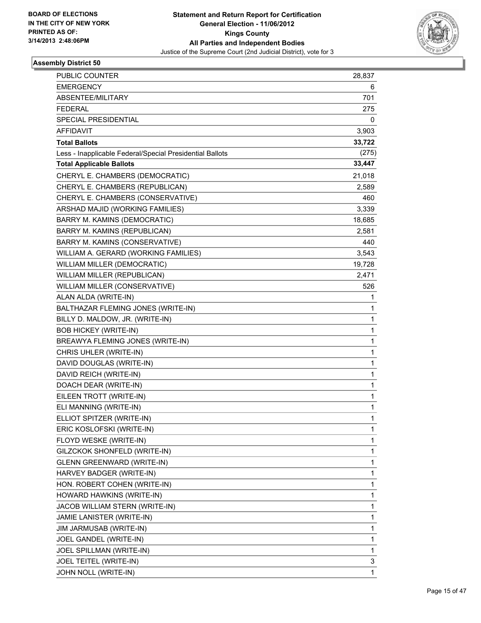

| <b>PUBLIC COUNTER</b>                                    | 28,837       |
|----------------------------------------------------------|--------------|
| <b>EMERGENCY</b>                                         | 6            |
| ABSENTEE/MILITARY                                        | 701          |
| <b>FEDERAL</b>                                           | 275          |
| SPECIAL PRESIDENTIAL                                     | 0            |
| AFFIDAVIT                                                | 3,903        |
| <b>Total Ballots</b>                                     | 33,722       |
| Less - Inapplicable Federal/Special Presidential Ballots | (275)        |
| <b>Total Applicable Ballots</b>                          | 33,447       |
| CHERYL E. CHAMBERS (DEMOCRATIC)                          | 21,018       |
| CHERYL E. CHAMBERS (REPUBLICAN)                          | 2,589        |
| CHERYL E. CHAMBERS (CONSERVATIVE)                        | 460          |
| ARSHAD MAJID (WORKING FAMILIES)                          | 3,339        |
| BARRY M. KAMINS (DEMOCRATIC)                             | 18,685       |
| BARRY M. KAMINS (REPUBLICAN)                             | 2,581        |
| BARRY M. KAMINS (CONSERVATIVE)                           | 440          |
| WILLIAM A. GERARD (WORKING FAMILIES)                     | 3,543        |
| WILLIAM MILLER (DEMOCRATIC)                              | 19,728       |
| WILLIAM MILLER (REPUBLICAN)                              | 2,471        |
| WILLIAM MILLER (CONSERVATIVE)                            | 526          |
| ALAN ALDA (WRITE-IN)                                     | 1            |
| BALTHAZAR FLEMING JONES (WRITE-IN)                       | 1            |
| BILLY D. MALDOW, JR. (WRITE-IN)                          | 1            |
| <b>BOB HICKEY (WRITE-IN)</b>                             | 1            |
| BREAWYA FLEMING JONES (WRITE-IN)                         | 1            |
| CHRIS UHLER (WRITE-IN)                                   | 1            |
| DAVID DOUGLAS (WRITE-IN)                                 | 1            |
| DAVID REICH (WRITE-IN)                                   | 1            |
| DOACH DEAR (WRITE-IN)                                    | 1            |
| EILEEN TROTT (WRITE-IN)                                  | 1            |
| ELI MANNING (WRITE-IN)                                   | 1            |
| ELLIOT SPITZER (WRITE-IN)                                | 1            |
| ERIC KOSLOFSKI (WRITE-IN)                                | 1            |
| FLOYD WESKE (WRITE-IN)                                   | 1            |
| GILZCKOK SHONFELD (WRITE-IN)                             | 1            |
| <b>GLENN GREENWARD (WRITE-IN)</b>                        | 1            |
| HARVEY BADGER (WRITE-IN)                                 | 1            |
| HON. ROBERT COHEN (WRITE-IN)                             | 1            |
| HOWARD HAWKINS (WRITE-IN)                                | 1            |
| JACOB WILLIAM STERN (WRITE-IN)                           | 1            |
| JAMIE LANISTER (WRITE-IN)                                | 1            |
| JIM JARMUSAB (WRITE-IN)                                  | 1            |
| JOEL GANDEL (WRITE-IN)                                   | 1            |
| JOEL SPILLMAN (WRITE-IN)                                 | 1            |
| JOEL TEITEL (WRITE-IN)                                   | 3            |
| JOHN NOLL (WRITE-IN)                                     | $\mathbf{1}$ |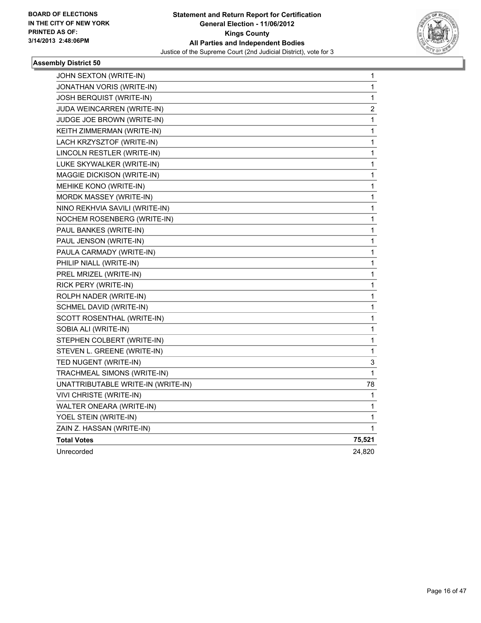

| JOHN SEXTON (WRITE-IN)             | 1                       |
|------------------------------------|-------------------------|
| JONATHAN VORIS (WRITE-IN)          | 1                       |
| JOSH BERQUIST (WRITE-IN)           | 1                       |
| JUDA WEINCARREN (WRITE-IN)         | $\overline{\mathbf{c}}$ |
| JUDGE JOE BROWN (WRITE-IN)         | 1                       |
| KEITH ZIMMERMAN (WRITE-IN)         | 1                       |
| LACH KRZYSZTOF (WRITE-IN)          | 1                       |
| LINCOLN RESTLER (WRITE-IN)         | 1                       |
| LUKE SKYWALKER (WRITE-IN)          | 1                       |
| MAGGIE DICKISON (WRITE-IN)         | 1                       |
| MEHIKE KONO (WRITE-IN)             | 1                       |
| MORDK MASSEY (WRITE-IN)            | 1                       |
| NINO REKHVIA SAVILI (WRITE-IN)     | 1                       |
| NOCHEM ROSENBERG (WRITE-IN)        | 1                       |
| PAUL BANKES (WRITE-IN)             | 1                       |
| PAUL JENSON (WRITE-IN)             | 1                       |
| PAULA CARMADY (WRITE-IN)           | 1                       |
| PHILIP NIALL (WRITE-IN)            | 1                       |
| PREL MRIZEL (WRITE-IN)             | 1                       |
| RICK PERY (WRITE-IN)               | 1                       |
| ROLPH NADER (WRITE-IN)             | 1                       |
| SCHMEL DAVID (WRITE-IN)            | 1                       |
| SCOTT ROSENTHAL (WRITE-IN)         | 1                       |
| SOBIA ALI (WRITE-IN)               | 1                       |
| STEPHEN COLBERT (WRITE-IN)         | 1                       |
| STEVEN L. GREENE (WRITE-IN)        | 1                       |
| TED NUGENT (WRITE-IN)              | 3                       |
| TRACHMEAL SIMONS (WRITE-IN)        | 1                       |
| UNATTRIBUTABLE WRITE-IN (WRITE-IN) | 78                      |
| VIVI CHRISTE (WRITE-IN)            | 1                       |
| WALTER ONEARA (WRITE-IN)           | 1                       |
| YOEL STEIN (WRITE-IN)              | 1                       |
| ZAIN Z. HASSAN (WRITE-IN)          | 1                       |
| <b>Total Votes</b>                 | 75,521                  |
| Unrecorded                         | 24,820                  |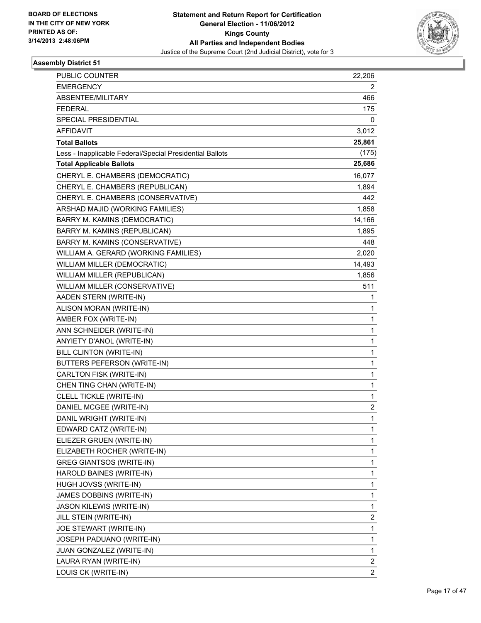

| PUBLIC COUNTER                                           | 22,206                  |
|----------------------------------------------------------|-------------------------|
| <b>EMERGENCY</b>                                         | 2                       |
| ABSENTEE/MILITARY                                        | 466                     |
| <b>FEDERAL</b>                                           | 175                     |
| SPECIAL PRESIDENTIAL                                     | 0                       |
| <b>AFFIDAVIT</b>                                         | 3,012                   |
| <b>Total Ballots</b>                                     | 25,861                  |
| Less - Inapplicable Federal/Special Presidential Ballots | (175)                   |
| <b>Total Applicable Ballots</b>                          | 25,686                  |
| CHERYL E. CHAMBERS (DEMOCRATIC)                          | 16,077                  |
| CHERYL E. CHAMBERS (REPUBLICAN)                          | 1,894                   |
| CHERYL E. CHAMBERS (CONSERVATIVE)                        | 442                     |
| ARSHAD MAJID (WORKING FAMILIES)                          | 1,858                   |
| BARRY M. KAMINS (DEMOCRATIC)                             | 14,166                  |
| BARRY M. KAMINS (REPUBLICAN)                             | 1,895                   |
| BARRY M. KAMINS (CONSERVATIVE)                           | 448                     |
| WILLIAM A. GERARD (WORKING FAMILIES)                     | 2,020                   |
| WILLIAM MILLER (DEMOCRATIC)                              | 14,493                  |
| WILLIAM MILLER (REPUBLICAN)                              | 1,856                   |
| WILLIAM MILLER (CONSERVATIVE)                            | 511                     |
| AADEN STERN (WRITE-IN)                                   | 1                       |
| ALISON MORAN (WRITE-IN)                                  | 1                       |
| AMBER FOX (WRITE-IN)                                     | 1                       |
| ANN SCHNEIDER (WRITE-IN)                                 | 1                       |
| ANYIETY D'ANOL (WRITE-IN)                                | 1                       |
| BILL CLINTON (WRITE-IN)                                  | 1                       |
| BUTTERS PEFERSON (WRITE-IN)                              | 1                       |
| CARLTON FISK (WRITE-IN)                                  | 1                       |
| CHEN TING CHAN (WRITE-IN)                                | 1                       |
| CLELL TICKLE (WRITE-IN)                                  | 1                       |
| DANIEL MCGEE (WRITE-IN)                                  | $\overline{\mathbf{c}}$ |
| DANIL WRIGHT (WRITE-IN)                                  | 1                       |
| EDWARD CATZ (WRITE-IN)                                   | 1                       |
| ELIEZER GRUEN (WRITE-IN)                                 | 1                       |
| ELIZABETH ROCHER (WRITE-IN)                              | 1                       |
| <b>GREG GIANTSOS (WRITE-IN)</b>                          | 1                       |
| HAROLD BAINES (WRITE-IN)                                 | 1                       |
| HUGH JOVSS (WRITE-IN)                                    | 1                       |
| JAMES DOBBINS (WRITE-IN)                                 | 1                       |
| JASON KILEWIS (WRITE-IN)                                 | 1                       |
| JILL STEIN (WRITE-IN)                                    | $\overline{\mathbf{c}}$ |
| JOE STEWART (WRITE-IN)                                   | 1                       |
| JOSEPH PADUANO (WRITE-IN)                                | 1                       |
| JUAN GONZALEZ (WRITE-IN)                                 | 1                       |
| LAURA RYAN (WRITE-IN)                                    | 2                       |
| LOUIS CK (WRITE-IN)                                      | $\overline{2}$          |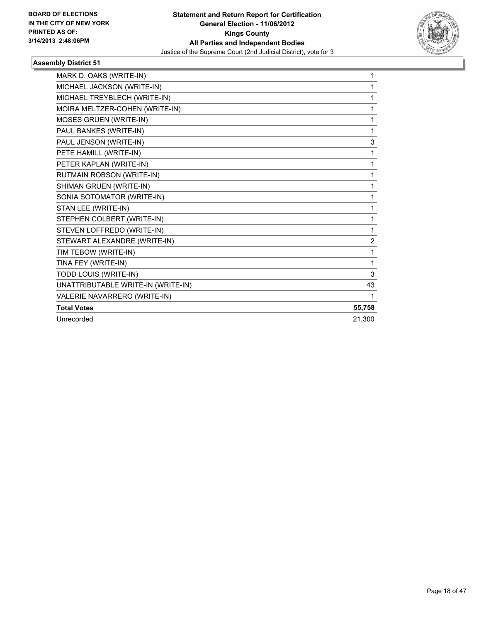

| MARK D. OAKS (WRITE-IN)            | 1      |
|------------------------------------|--------|
| MICHAEL JACKSON (WRITE-IN)         | 1      |
| MICHAEL TREYBLECH (WRITE-IN)       | 1      |
| MOIRA MELTZER-COHEN (WRITE-IN)     | 1      |
| <b>MOSES GRUEN (WRITE-IN)</b>      | 1      |
| PAUL BANKES (WRITE-IN)             | 1      |
| PAUL JENSON (WRITE-IN)             | 3      |
| PETE HAMILL (WRITE-IN)             | 1      |
| PETER KAPLAN (WRITE-IN)            | 1      |
| RUTMAIN ROBSON (WRITE-IN)          | 1      |
| SHIMAN GRUEN (WRITE-IN)            | 1      |
| SONIA SOTOMATOR (WRITE-IN)         | 1      |
| STAN LEE (WRITE-IN)                | 1      |
| STEPHEN COLBERT (WRITE-IN)         | 1      |
| STEVEN LOFFREDO (WRITE-IN)         | 1      |
| STEWART ALEXANDRE (WRITE-IN)       | 2      |
| TIM TEBOW (WRITE-IN)               | 1      |
| TINA FEY (WRITE-IN)                | 1      |
| TODD LOUIS (WRITE-IN)              | 3      |
| UNATTRIBUTABLE WRITE-IN (WRITE-IN) | 43     |
| VALERIE NAVARRERO (WRITE-IN)       | 1      |
| <b>Total Votes</b>                 | 55,758 |
| Unrecorded                         | 21,300 |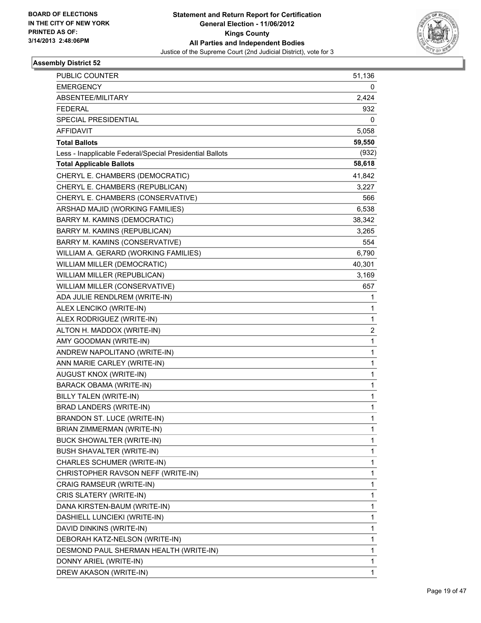

| PUBLIC COUNTER                                           | 51,136       |
|----------------------------------------------------------|--------------|
| <b>EMERGENCY</b>                                         | 0            |
| ABSENTEE/MILITARY                                        | 2,424        |
| <b>FEDERAL</b>                                           | 932          |
| SPECIAL PRESIDENTIAL                                     | 0            |
| <b>AFFIDAVIT</b>                                         | 5,058        |
| <b>Total Ballots</b>                                     | 59,550       |
| Less - Inapplicable Federal/Special Presidential Ballots | (932)        |
| <b>Total Applicable Ballots</b>                          | 58,618       |
| CHERYL E. CHAMBERS (DEMOCRATIC)                          | 41,842       |
| CHERYL E. CHAMBERS (REPUBLICAN)                          | 3,227        |
| CHERYL E. CHAMBERS (CONSERVATIVE)                        | 566          |
| ARSHAD MAJID (WORKING FAMILIES)                          | 6,538        |
| BARRY M. KAMINS (DEMOCRATIC)                             | 38,342       |
| BARRY M. KAMINS (REPUBLICAN)                             | 3,265        |
| BARRY M. KAMINS (CONSERVATIVE)                           | 554          |
| WILLIAM A. GERARD (WORKING FAMILIES)                     | 6,790        |
| WILLIAM MILLER (DEMOCRATIC)                              | 40,301       |
| WILLIAM MILLER (REPUBLICAN)                              | 3,169        |
| WILLIAM MILLER (CONSERVATIVE)                            | 657          |
| ADA JULIE RENDLREM (WRITE-IN)                            | 1            |
| ALEX LENCIKO (WRITE-IN)                                  | 1            |
| ALEX RODRIGUEZ (WRITE-IN)                                | 1            |
| ALTON H. MADDOX (WRITE-IN)                               | 2            |
| AMY GOODMAN (WRITE-IN)                                   | $\mathbf{1}$ |
| ANDREW NAPOLITANO (WRITE-IN)                             | 1            |
| ANN MARIE CARLEY (WRITE-IN)                              | 1            |
| AUGUST KNOX (WRITE-IN)                                   | 1            |
| BARACK OBAMA (WRITE-IN)                                  | 1            |
| <b>BILLY TALEN (WRITE-IN)</b>                            | 1            |
| BRAD LANDERS (WRITE-IN)                                  | 1            |
| BRANDON ST. LUCE (WRITE-IN)                              | 1            |
| BRIAN ZIMMERMAN (WRITE-IN)                               | 1            |
| BUCK SHOWALTER (WRITE-IN)                                | 1            |
| BUSH SHAVALTER (WRITE-IN)                                | 1            |
| CHARLES SCHUMER (WRITE-IN)                               | 1            |
| CHRISTOPHER RAVSON NEFF (WRITE-IN)                       | 1            |
| CRAIG RAMSEUR (WRITE-IN)                                 | 1            |
| CRIS SLATERY (WRITE-IN)                                  | 1            |
| DANA KIRSTEN-BAUM (WRITE-IN)                             | 1            |
| DASHIELL LUNCIEKI (WRITE-IN)                             | 1            |
| DAVID DINKINS (WRITE-IN)                                 | 1            |
| DEBORAH KATZ-NELSON (WRITE-IN)                           | 1            |
| DESMOND PAUL SHERMAN HEALTH (WRITE-IN)                   | 1            |
| DONNY ARIEL (WRITE-IN)                                   | 1            |
| DREW AKASON (WRITE-IN)                                   | 1            |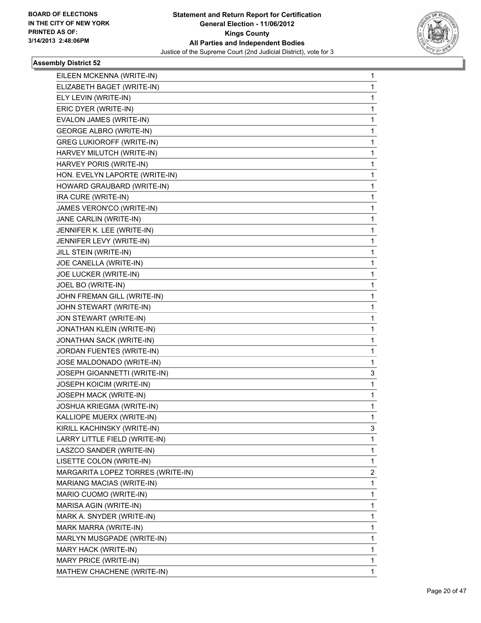

| EILEEN MCKENNA (WRITE-IN)         | 1 |
|-----------------------------------|---|
| ELIZABETH BAGET (WRITE-IN)        | 1 |
| ELY LEVIN (WRITE-IN)              | 1 |
| ERIC DYER (WRITE-IN)              | 1 |
| EVALON JAMES (WRITE-IN)           | 1 |
| <b>GEORGE ALBRO (WRITE-IN)</b>    | 1 |
| <b>GREG LUKIOROFF (WRITE-IN)</b>  | 1 |
| HARVEY MILUTCH (WRITE-IN)         | 1 |
| HARVEY PORIS (WRITE-IN)           | 1 |
| HON. EVELYN LAPORTE (WRITE-IN)    | 1 |
| HOWARD GRAUBARD (WRITE-IN)        | 1 |
| IRA CURE (WRITE-IN)               | 1 |
| JAMES VERON'CO (WRITE-IN)         | 1 |
| JANE CARLIN (WRITE-IN)            | 1 |
| JENNIFER K. LEE (WRITE-IN)        | 1 |
| JENNIFER LEVY (WRITE-IN)          | 1 |
| JILL STEIN (WRITE-IN)             | 1 |
| JOE CANELLA (WRITE-IN)            | 1 |
| JOE LUCKER (WRITE-IN)             | 1 |
| JOEL BO (WRITE-IN)                | 1 |
| JOHN FREMAN GILL (WRITE-IN)       | 1 |
| JOHN STEWART (WRITE-IN)           | 1 |
| JON STEWART (WRITE-IN)            | 1 |
| JONATHAN KLEIN (WRITE-IN)         | 1 |
| JONATHAN SACK (WRITE-IN)          | 1 |
| JORDAN FUENTES (WRITE-IN)         | 1 |
| JOSE MALDONADO (WRITE-IN)         | 1 |
| JOSEPH GIOANNETTI (WRITE-IN)      | 3 |
| <b>JOSEPH KOICIM (WRITE-IN)</b>   | 1 |
| JOSEPH MACK (WRITE-IN)            | 1 |
| JOSHUA KRIEGMA (WRITE-IN)         | 1 |
| KALLIOPE MUERX (WRITE-IN)         | 1 |
| KIRILL KACHINSKY (WRITE-IN)       | 3 |
| LARRY LITTLE FIELD (WRITE-IN)     | 1 |
| LASZCO SANDER (WRITE-IN)          | 1 |
| LISETTE COLON (WRITE-IN)          | 1 |
| MARGARITA LOPEZ TORRES (WRITE-IN) | 2 |
| <b>MARIANG MACIAS (WRITE-IN)</b>  | 1 |
| MARIO CUOMO (WRITE-IN)            | 1 |
| MARISA AGIN (WRITE-IN)            | 1 |
| MARK A. SNYDER (WRITE-IN)         | 1 |
| MARK MARRA (WRITE-IN)             | 1 |
| MARLYN MUSGPADE (WRITE-IN)        | 1 |
| MARY HACK (WRITE-IN)              | 1 |
| MARY PRICE (WRITE-IN)             | 1 |
| MATHEW CHACHENE (WRITE-IN)        | 1 |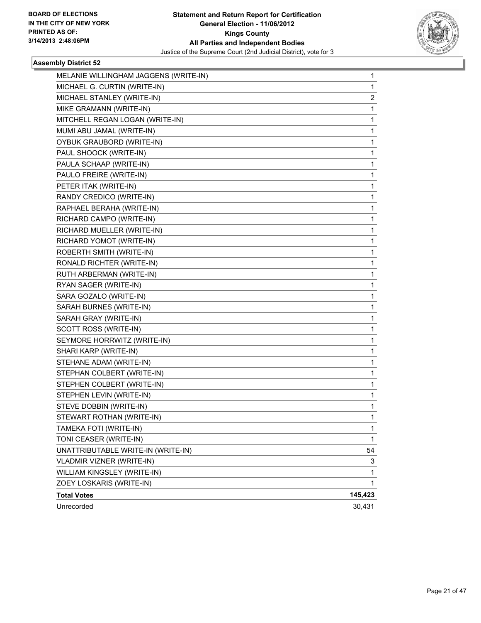

| MELANIE WILLINGHAM JAGGENS (WRITE-IN) | 1       |
|---------------------------------------|---------|
| MICHAEL G. CURTIN (WRITE-IN)          | 1       |
| MICHAEL STANLEY (WRITE-IN)            | 2       |
| MIKE GRAMANN (WRITE-IN)               | 1       |
| MITCHELL REGAN LOGAN (WRITE-IN)       | 1       |
| MUMI ABU JAMAL (WRITE-IN)             | 1       |
| OYBUK GRAUBORD (WRITE-IN)             | 1       |
| PAUL SHOOCK (WRITE-IN)                | 1       |
| PAULA SCHAAP (WRITE-IN)               | 1       |
| PAULO FREIRE (WRITE-IN)               | 1       |
| PETER ITAK (WRITE-IN)                 | 1       |
| RANDY CREDICO (WRITE-IN)              | 1       |
| RAPHAEL BERAHA (WRITE-IN)             | 1       |
| RICHARD CAMPO (WRITE-IN)              | 1       |
| RICHARD MUELLER (WRITE-IN)            | 1       |
| RICHARD YOMOT (WRITE-IN)              | 1       |
| ROBERTH SMITH (WRITE-IN)              | 1       |
| RONALD RICHTER (WRITE-IN)             | 1       |
| RUTH ARBERMAN (WRITE-IN)              | 1       |
| RYAN SAGER (WRITE-IN)                 | 1       |
| SARA GOZALO (WRITE-IN)                | 1       |
| SARAH BURNES (WRITE-IN)               | 1       |
| SARAH GRAY (WRITE-IN)                 | 1       |
| SCOTT ROSS (WRITE-IN)                 | 1       |
| SEYMORE HORRWITZ (WRITE-IN)           | 1       |
| SHARI KARP (WRITE-IN)                 | 1       |
| STEHANE ADAM (WRITE-IN)               | 1       |
| STEPHAN COLBERT (WRITE-IN)            | 1       |
| STEPHEN COLBERT (WRITE-IN)            | 1       |
| STEPHEN LEVIN (WRITE-IN)              | 1       |
| STEVE DOBBIN (WRITE-IN)               | 1       |
| STEWART ROTHAN (WRITE-IN)             | 1       |
| TAMEKA FOTI (WRITE-IN)                | 1       |
| TONI CEASER (WRITE-IN)                | 1       |
| UNATTRIBUTABLE WRITE-IN (WRITE-IN)    | 54      |
| <b>VLADMIR VIZNER (WRITE-IN)</b>      | 3       |
| WILLIAM KINGSLEY (WRITE-IN)           | 1       |
| ZOEY LOSKARIS (WRITE-IN)              | 1       |
| <b>Total Votes</b>                    | 145,423 |
| Unrecorded                            | 30,431  |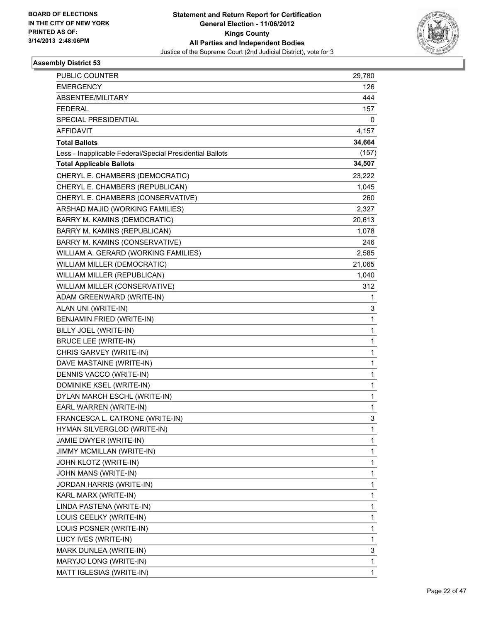

| PUBLIC COUNTER                                           | 29,780 |
|----------------------------------------------------------|--------|
| <b>EMERGENCY</b>                                         | 126    |
| ABSENTEE/MILITARY                                        | 444    |
| <b>FEDERAL</b>                                           | 157    |
| SPECIAL PRESIDENTIAL                                     | 0      |
| AFFIDAVIT                                                | 4,157  |
| <b>Total Ballots</b>                                     | 34,664 |
| Less - Inapplicable Federal/Special Presidential Ballots | (157)  |
| <b>Total Applicable Ballots</b>                          | 34,507 |
| CHERYL E. CHAMBERS (DEMOCRATIC)                          | 23,222 |
| CHERYL E. CHAMBERS (REPUBLICAN)                          | 1,045  |
| CHERYL E. CHAMBERS (CONSERVATIVE)                        | 260    |
| ARSHAD MAJID (WORKING FAMILIES)                          | 2,327  |
| BARRY M. KAMINS (DEMOCRATIC)                             | 20,613 |
| BARRY M. KAMINS (REPUBLICAN)                             | 1,078  |
| BARRY M. KAMINS (CONSERVATIVE)                           | 246    |
| WILLIAM A. GERARD (WORKING FAMILIES)                     | 2,585  |
| WILLIAM MILLER (DEMOCRATIC)                              | 21,065 |
| WILLIAM MILLER (REPUBLICAN)                              | 1,040  |
| WILLIAM MILLER (CONSERVATIVE)                            | 312    |
| ADAM GREENWARD (WRITE-IN)                                | 1      |
| ALAN UNI (WRITE-IN)                                      | 3      |
| BENJAMIN FRIED (WRITE-IN)                                | 1      |
| BILLY JOEL (WRITE-IN)                                    | 1      |
| <b>BRUCE LEE (WRITE-IN)</b>                              | 1      |
| CHRIS GARVEY (WRITE-IN)                                  | 1      |
| DAVE MASTAINE (WRITE-IN)                                 | 1      |
| DENNIS VACCO (WRITE-IN)                                  | 1      |
| DOMINIKE KSEL (WRITE-IN)                                 | 1      |
| DYLAN MARCH ESCHL (WRITE-IN)                             | 1      |
| EARL WARREN (WRITE-IN)                                   | 1      |
| FRANCESCA L. CATRONE (WRITE-IN)                          | 3      |
| HYMAN SILVERGLOD (WRITE-IN)                              | 1      |
| JAMIE DWYER (WRITE-IN)                                   | 1      |
| JIMMY MCMILLAN (WRITE-IN)                                | 1      |
| JOHN KLOTZ (WRITE-IN)                                    | 1      |
| JOHN MANS (WRITE-IN)                                     | 1      |
| JORDAN HARRIS (WRITE-IN)                                 | 1      |
| KARL MARX (WRITE-IN)                                     | 1      |
| LINDA PASTENA (WRITE-IN)                                 | 1      |
| LOUIS CEELKY (WRITE-IN)                                  | 1      |
| LOUIS POSNER (WRITE-IN)                                  | 1      |
| LUCY IVES (WRITE-IN)                                     | 1      |
| MARK DUNLEA (WRITE-IN)                                   | 3      |
| MARYJO LONG (WRITE-IN)                                   | 1      |
| MATT IGLESIAS (WRITE-IN)                                 | 1      |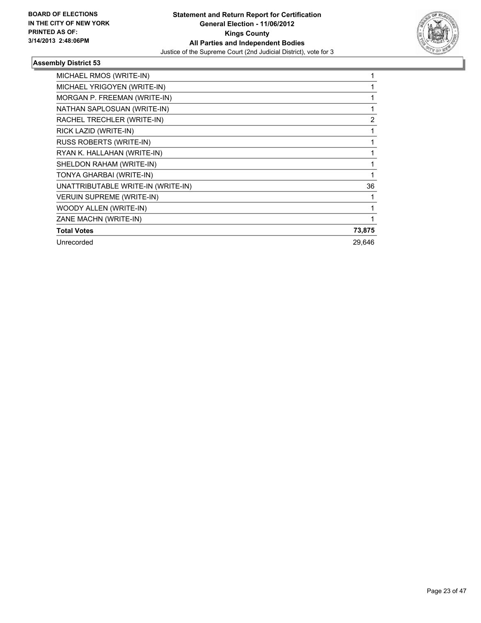

| MICHAEL RMOS (WRITE-IN)            |                |
|------------------------------------|----------------|
| MICHAEL YRIGOYEN (WRITE-IN)        |                |
| MORGAN P. FREEMAN (WRITE-IN)       |                |
| NATHAN SAPLOSUAN (WRITE-IN)        |                |
| RACHEL TRECHLER (WRITE-IN)         | $\overline{2}$ |
| RICK LAZID (WRITE-IN)              |                |
| RUSS ROBERTS (WRITE-IN)            |                |
| RYAN K. HALLAHAN (WRITE-IN)        |                |
| SHELDON RAHAM (WRITE-IN)           |                |
| TONYA GHARBAI (WRITE-IN)           |                |
| UNATTRIBUTABLE WRITE-IN (WRITE-IN) | 36             |
| <b>VERUIN SUPREME (WRITE-IN)</b>   |                |
| WOODY ALLEN (WRITE-IN)             |                |
| ZANE MACHN (WRITE-IN)              |                |
| <b>Total Votes</b>                 | 73,875         |
| Unrecorded                         | 29,646         |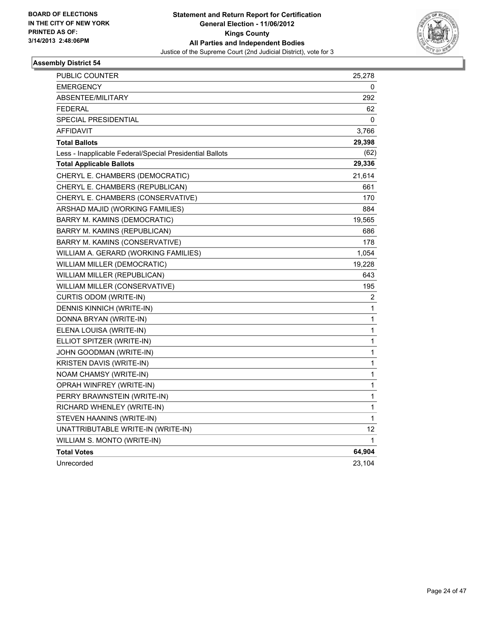

| PUBLIC COUNTER                                           | 25,278 |
|----------------------------------------------------------|--------|
| <b>EMERGENCY</b>                                         | 0      |
| ABSENTEE/MILITARY                                        | 292    |
| <b>FEDERAL</b>                                           | 62     |
| SPECIAL PRESIDENTIAL                                     | 0      |
| AFFIDAVIT                                                | 3,766  |
| <b>Total Ballots</b>                                     | 29,398 |
| Less - Inapplicable Federal/Special Presidential Ballots | (62)   |
| <b>Total Applicable Ballots</b>                          | 29,336 |
| CHERYL E. CHAMBERS (DEMOCRATIC)                          | 21,614 |
| CHERYL E. CHAMBERS (REPUBLICAN)                          | 661    |
| CHERYL E. CHAMBERS (CONSERVATIVE)                        | 170    |
| ARSHAD MAJID (WORKING FAMILIES)                          | 884    |
| BARRY M. KAMINS (DEMOCRATIC)                             | 19,565 |
| BARRY M. KAMINS (REPUBLICAN)                             | 686    |
| BARRY M. KAMINS (CONSERVATIVE)                           | 178    |
| WILLIAM A. GERARD (WORKING FAMILIES)                     | 1,054  |
| WILLIAM MILLER (DEMOCRATIC)                              | 19,228 |
| WILLIAM MILLER (REPUBLICAN)                              | 643    |
| WILLIAM MILLER (CONSERVATIVE)                            | 195    |
| CURTIS ODOM (WRITE-IN)                                   | 2      |
| DENNIS KINNICH (WRITE-IN)                                | 1      |
| DONNA BRYAN (WRITE-IN)                                   | 1      |
| ELENA LOUISA (WRITE-IN)                                  | 1      |
| ELLIOT SPITZER (WRITE-IN)                                | 1      |
| JOHN GOODMAN (WRITE-IN)                                  | 1      |
| KRISTEN DAVIS (WRITE-IN)                                 | 1      |
| NOAM CHAMSY (WRITE-IN)                                   | 1      |
| OPRAH WINFREY (WRITE-IN)                                 | 1      |
| PERRY BRAWNSTEIN (WRITE-IN)                              | 1      |
| RICHARD WHENLEY (WRITE-IN)                               | 1      |
| STEVEN HAANINS (WRITE-IN)                                | 1      |
| UNATTRIBUTABLE WRITE-IN (WRITE-IN)                       | 12     |
| WILLIAM S. MONTO (WRITE-IN)                              | 1      |
| <b>Total Votes</b>                                       | 64,904 |
| Unrecorded                                               | 23,104 |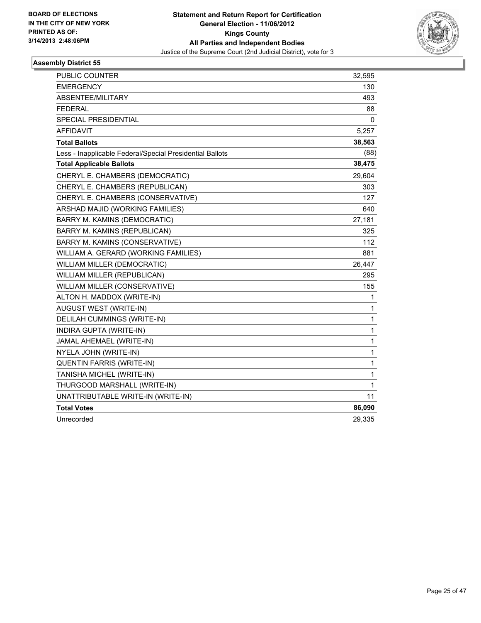

| PUBLIC COUNTER                                           | 32,595       |
|----------------------------------------------------------|--------------|
| <b>EMERGENCY</b>                                         | 130          |
| ABSENTEE/MILITARY                                        | 493          |
| <b>FEDERAL</b>                                           | 88           |
| SPECIAL PRESIDENTIAL                                     | $\Omega$     |
| <b>AFFIDAVIT</b>                                         | 5,257        |
| <b>Total Ballots</b>                                     | 38,563       |
| Less - Inapplicable Federal/Special Presidential Ballots | (88)         |
| <b>Total Applicable Ballots</b>                          | 38,475       |
| CHERYL E. CHAMBERS (DEMOCRATIC)                          | 29,604       |
| CHERYL E. CHAMBERS (REPUBLICAN)                          | 303          |
| CHERYL E. CHAMBERS (CONSERVATIVE)                        | 127          |
| ARSHAD MAJID (WORKING FAMILIES)                          | 640          |
| BARRY M. KAMINS (DEMOCRATIC)                             | 27,181       |
| BARRY M. KAMINS (REPUBLICAN)                             | 325          |
| BARRY M. KAMINS (CONSERVATIVE)                           | 112          |
| WILLIAM A. GERARD (WORKING FAMILIES)                     | 881          |
| WILLIAM MILLER (DEMOCRATIC)                              | 26,447       |
| WILLIAM MILLER (REPUBLICAN)                              | 295          |
| WILLIAM MILLER (CONSERVATIVE)                            | 155          |
| ALTON H. MADDOX (WRITE-IN)                               | 1            |
| AUGUST WEST (WRITE-IN)                                   | 1            |
| <b>DELILAH CUMMINGS (WRITE-IN)</b>                       | $\mathbf{1}$ |
| INDIRA GUPTA (WRITE-IN)                                  | 1            |
| JAMAL AHEMAEL (WRITE-IN)                                 | 1            |
| NYELA JOHN (WRITE-IN)                                    | 1            |
| QUENTIN FARRIS (WRITE-IN)                                | 1            |
| TANISHA MICHEL (WRITE-IN)                                | 1            |
| THURGOOD MARSHALL (WRITE-IN)                             | 1            |
| UNATTRIBUTABLE WRITE-IN (WRITE-IN)                       | 11           |
| <b>Total Votes</b>                                       | 86,090       |
| Unrecorded                                               | 29,335       |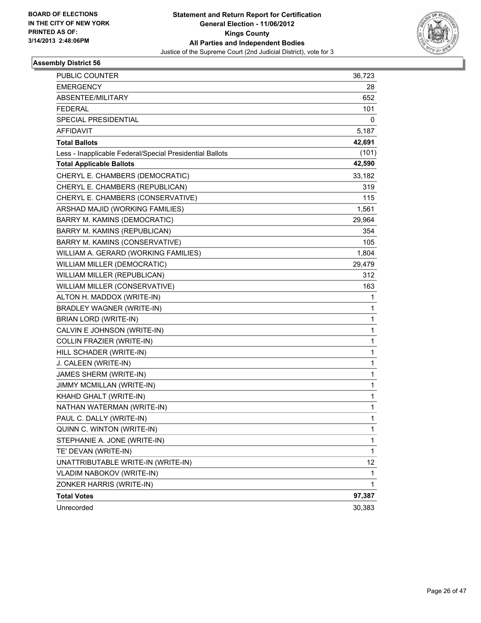

| PUBLIC COUNTER                                           | 36,723       |
|----------------------------------------------------------|--------------|
| <b>EMERGENCY</b>                                         | 28           |
| ABSENTEE/MILITARY                                        | 652          |
| <b>FEDERAL</b>                                           | 101          |
| SPECIAL PRESIDENTIAL                                     | 0            |
| AFFIDAVIT                                                | 5,187        |
| <b>Total Ballots</b>                                     | 42,691       |
| Less - Inapplicable Federal/Special Presidential Ballots | (101)        |
| <b>Total Applicable Ballots</b>                          | 42,590       |
| CHERYL E. CHAMBERS (DEMOCRATIC)                          | 33,182       |
| CHERYL E. CHAMBERS (REPUBLICAN)                          | 319          |
| CHERYL E. CHAMBERS (CONSERVATIVE)                        | 115          |
| ARSHAD MAJID (WORKING FAMILIES)                          | 1,561        |
| BARRY M. KAMINS (DEMOCRATIC)                             | 29,964       |
| BARRY M. KAMINS (REPUBLICAN)                             | 354          |
| BARRY M. KAMINS (CONSERVATIVE)                           | 105          |
| WILLIAM A. GERARD (WORKING FAMILIES)                     | 1,804        |
| WILLIAM MILLER (DEMOCRATIC)                              | 29,479       |
| WILLIAM MILLER (REPUBLICAN)                              | 312          |
| WILLIAM MILLER (CONSERVATIVE)                            | 163          |
| ALTON H. MADDOX (WRITE-IN)                               | 1            |
| BRADLEY WAGNER (WRITE-IN)                                | 1            |
| BRIAN LORD (WRITE-IN)                                    | 1            |
| CALVIN E JOHNSON (WRITE-IN)                              | 1            |
| COLLIN FRAZIER (WRITE-IN)                                | 1            |
| HILL SCHADER (WRITE-IN)                                  | 1            |
| J. CALEEN (WRITE-IN)                                     | 1            |
| JAMES SHERM (WRITE-IN)                                   | 1            |
| JIMMY MCMILLAN (WRITE-IN)                                | 1            |
| KHAHD GHALT (WRITE-IN)                                   | 1            |
| NATHAN WATERMAN (WRITE-IN)                               | 1            |
| PAUL C. DALLY (WRITE-IN)                                 | 1            |
| QUINN C. WINTON (WRITE-IN)                               | 1            |
| STEPHANIE A. JONE (WRITE-IN)                             | 1            |
| TE' DEVAN (WRITE-IN)                                     | 1            |
| UNATTRIBUTABLE WRITE-IN (WRITE-IN)                       | 12           |
| VLADIM NABOKOV (WRITE-IN)                                | $\mathbf{1}$ |
| ZONKER HARRIS (WRITE-IN)                                 | 1            |
| <b>Total Votes</b>                                       | 97,387       |
| Unrecorded                                               | 30,383       |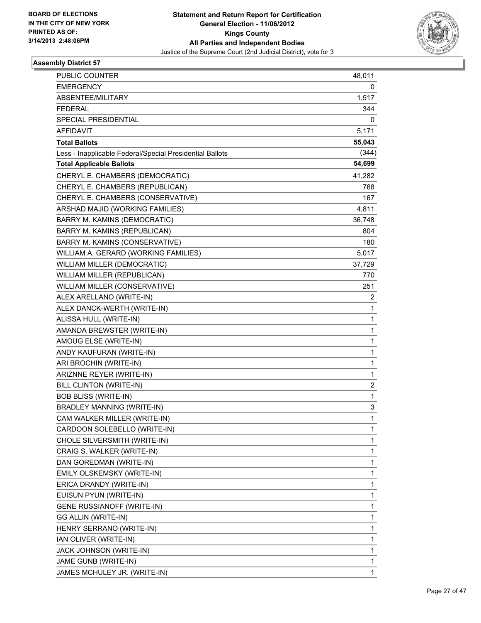

| PUBLIC COUNTER                                           | 48,011       |
|----------------------------------------------------------|--------------|
| <b>EMERGENCY</b>                                         | 0            |
| ABSENTEE/MILITARY                                        | 1,517        |
| <b>FEDERAL</b>                                           | 344          |
| SPECIAL PRESIDENTIAL                                     | 0            |
| AFFIDAVIT                                                | 5,171        |
| <b>Total Ballots</b>                                     | 55,043       |
| Less - Inapplicable Federal/Special Presidential Ballots | (344)        |
| <b>Total Applicable Ballots</b>                          | 54,699       |
| CHERYL E. CHAMBERS (DEMOCRATIC)                          | 41,282       |
| CHERYL E. CHAMBERS (REPUBLICAN)                          | 768          |
| CHERYL E. CHAMBERS (CONSERVATIVE)                        | 167          |
| ARSHAD MAJID (WORKING FAMILIES)                          | 4,811        |
| BARRY M. KAMINS (DEMOCRATIC)                             | 36,748       |
| BARRY M. KAMINS (REPUBLICAN)                             | 804          |
| BARRY M. KAMINS (CONSERVATIVE)                           | 180          |
| WILLIAM A. GERARD (WORKING FAMILIES)                     | 5,017        |
| <b>WILLIAM MILLER (DEMOCRATIC)</b>                       | 37,729       |
| WILLIAM MILLER (REPUBLICAN)                              | 770          |
| WILLIAM MILLER (CONSERVATIVE)                            | 251          |
| ALEX ARELLANO (WRITE-IN)                                 | 2            |
| ALEX DANCK-WERTH (WRITE-IN)                              | 1            |
| ALISSA HULL (WRITE-IN)                                   | 1            |
| AMANDA BREWSTER (WRITE-IN)                               | 1            |
| AMOUG ELSE (WRITE-IN)                                    | 1            |
| ANDY KAUFURAN (WRITE-IN)                                 | $\mathbf{1}$ |
| ARI BROCHIN (WRITE-IN)                                   | $\mathbf{1}$ |
| ARIZNNE REYER (WRITE-IN)                                 | 1            |
| <b>BILL CLINTON (WRITE-IN)</b>                           | 2            |
| <b>BOB BLISS (WRITE-IN)</b>                              | 1            |
| <b>BRADLEY MANNING (WRITE-IN)</b>                        | 3            |
| CAM WALKER MILLER (WRITE-IN)                             | 1            |
| CARDOON SOLEBELLO (WRITE-IN)                             | 1            |
| CHOLE SILVERSMITH (WRITE-IN)                             | 1            |
| CRAIG S. WALKER (WRITE-IN)                               | 1            |
| DAN GOREDMAN (WRITE-IN)                                  | 1            |
| EMILY OLSKEMSKY (WRITE-IN)                               | 1            |
| ERICA DRANDY (WRITE-IN)                                  | 1            |
| EUISUN PYUN (WRITE-IN)                                   | 1            |
| GENE RUSSIANOFF (WRITE-IN)                               | 1            |
| GG ALLIN (WRITE-IN)                                      | 1            |
| HENRY SERRANO (WRITE-IN)                                 | 1            |
| IAN OLIVER (WRITE-IN)                                    | 1            |
| JACK JOHNSON (WRITE-IN)                                  | 1            |
| JAME GUNB (WRITE-IN)                                     | 1            |
| JAMES MCHULEY JR. (WRITE-IN)                             | $\mathbf{1}$ |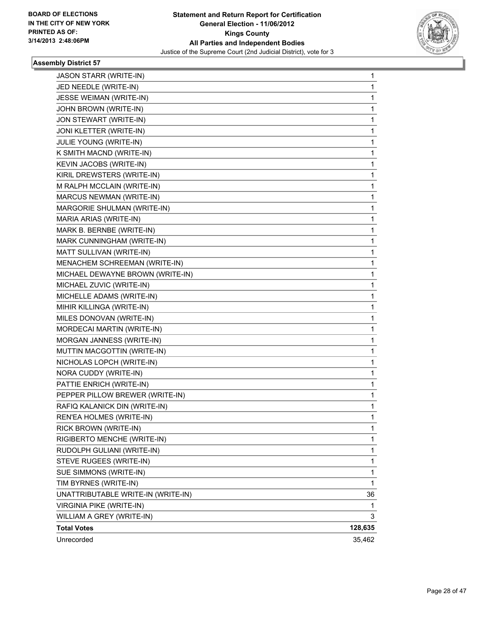

| JASON STARR (WRITE-IN)             | 1       |
|------------------------------------|---------|
| JED NEEDLE (WRITE-IN)              | 1       |
| JESSE WEIMAN (WRITE-IN)            | 1       |
| JOHN BROWN (WRITE-IN)              | 1       |
| JON STEWART (WRITE-IN)             | 1       |
| JONI KLETTER (WRITE-IN)            | 1       |
| JULIE YOUNG (WRITE-IN)             | 1       |
| K SMITH MACND (WRITE-IN)           | 1       |
| KEVIN JACOBS (WRITE-IN)            | 1       |
| KIRIL DREWSTERS (WRITE-IN)         | 1       |
| M RALPH MCCLAIN (WRITE-IN)         | 1       |
| MARCUS NEWMAN (WRITE-IN)           | 1       |
| MARGORIE SHULMAN (WRITE-IN)        | 1       |
| MARIA ARIAS (WRITE-IN)             | 1       |
| MARK B. BERNBE (WRITE-IN)          | 1       |
| MARK CUNNINGHAM (WRITE-IN)         | 1       |
| MATT SULLIVAN (WRITE-IN)           | 1       |
| MENACHEM SCHREEMAN (WRITE-IN)      | 1       |
| MICHAEL DEWAYNE BROWN (WRITE-IN)   | 1       |
| MICHAEL ZUVIC (WRITE-IN)           | 1       |
| MICHELLE ADAMS (WRITE-IN)          | 1       |
| MIHIR KILLINGA (WRITE-IN)          | 1       |
| MILES DONOVAN (WRITE-IN)           | 1       |
| MORDECAI MARTIN (WRITE-IN)         | 1       |
| MORGAN JANNESS (WRITE-IN)          | 1       |
| MUTTIN MACGOTTIN (WRITE-IN)        | 1       |
| NICHOLAS LOPCH (WRITE-IN)          | 1       |
| NORA CUDDY (WRITE-IN)              | 1       |
| PATTIE ENRICH (WRITE-IN)           | 1       |
| PEPPER PILLOW BREWER (WRITE-IN)    | 1       |
| RAFIQ KALANICK DIN (WRITE-IN)      | 1       |
| REN'EA HOLMES (WRITE-IN)           | 1       |
| RICK BROWN (WRITE-IN)              | 1       |
| RIGIBERTO MENCHE (WRITE-IN)        | 1       |
| RUDOLPH GULIANI (WRITE-IN)         | 1       |
| STEVE RUGEES (WRITE-IN)            | 1       |
| SUE SIMMONS (WRITE-IN)             | 1       |
| TIM BYRNES (WRITE-IN)              | 1       |
| UNATTRIBUTABLE WRITE-IN (WRITE-IN) | 36      |
| VIRGINIA PIKE (WRITE-IN)           | 1       |
| WILLIAM A GREY (WRITE-IN)          | 3       |
| <b>Total Votes</b>                 | 128,635 |
| Unrecorded                         | 35,462  |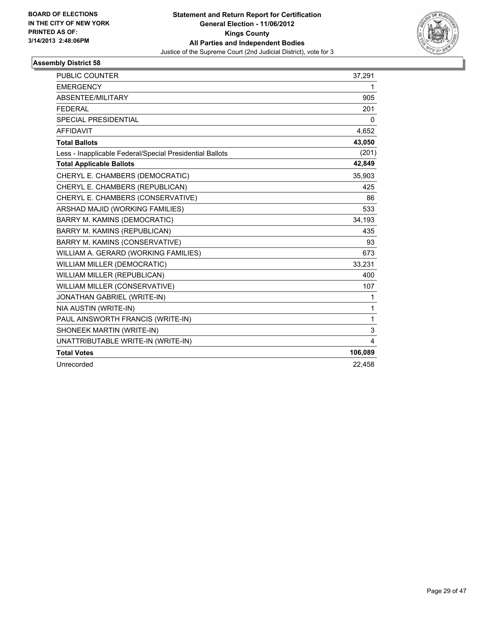

| <b>PUBLIC COUNTER</b>                                    | 37,291  |
|----------------------------------------------------------|---------|
| <b>EMERGENCY</b>                                         | 1       |
| ABSENTEE/MILITARY                                        | 905     |
| <b>FEDERAL</b>                                           | 201     |
| SPECIAL PRESIDENTIAL                                     | 0       |
| <b>AFFIDAVIT</b>                                         | 4,652   |
| <b>Total Ballots</b>                                     | 43,050  |
| Less - Inapplicable Federal/Special Presidential Ballots | (201)   |
| <b>Total Applicable Ballots</b>                          | 42,849  |
| CHERYL E. CHAMBERS (DEMOCRATIC)                          | 35,903  |
| CHERYL E. CHAMBERS (REPUBLICAN)                          | 425     |
| CHERYL E. CHAMBERS (CONSERVATIVE)                        | 86      |
| ARSHAD MAJID (WORKING FAMILIES)                          | 533     |
| <b>BARRY M. KAMINS (DEMOCRATIC)</b>                      | 34,193  |
| BARRY M. KAMINS (REPUBLICAN)                             | 435     |
| BARRY M. KAMINS (CONSERVATIVE)                           | 93      |
| WILLIAM A. GERARD (WORKING FAMILIES)                     | 673     |
| <b>WILLIAM MILLER (DEMOCRATIC)</b>                       | 33,231  |
| WILLIAM MILLER (REPUBLICAN)                              | 400     |
| WILLIAM MILLER (CONSERVATIVE)                            | 107     |
| JONATHAN GABRIEL (WRITE-IN)                              | 1       |
| NIA AUSTIN (WRITE-IN)                                    | 1       |
| PAUL AINSWORTH FRANCIS (WRITE-IN)                        | 1       |
| SHONEEK MARTIN (WRITE-IN)                                | 3       |
| UNATTRIBUTABLE WRITE-IN (WRITE-IN)                       | 4       |
| <b>Total Votes</b>                                       | 106,089 |
| Unrecorded                                               | 22.458  |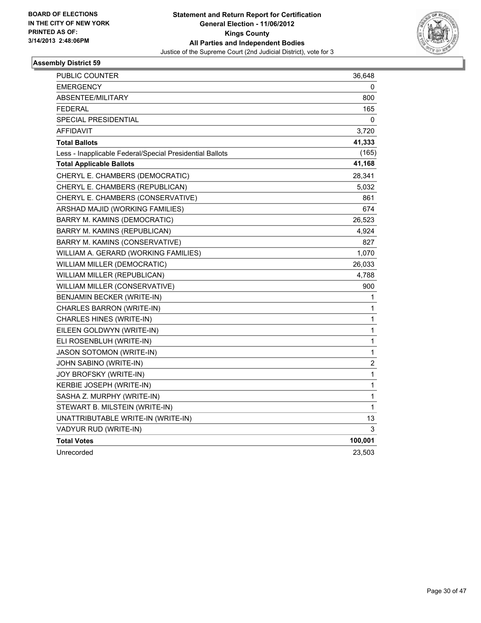

| PUBLIC COUNTER                                           | 36,648       |
|----------------------------------------------------------|--------------|
| <b>EMERGENCY</b>                                         | 0            |
| <b>ABSENTEE/MILITARY</b>                                 | 800          |
| <b>FEDERAL</b>                                           | 165          |
| SPECIAL PRESIDENTIAL                                     | 0            |
| <b>AFFIDAVIT</b>                                         | 3,720        |
| <b>Total Ballots</b>                                     | 41,333       |
| Less - Inapplicable Federal/Special Presidential Ballots | (165)        |
| <b>Total Applicable Ballots</b>                          | 41,168       |
| CHERYL E. CHAMBERS (DEMOCRATIC)                          | 28,341       |
| CHERYL E. CHAMBERS (REPUBLICAN)                          | 5,032        |
| CHERYL E. CHAMBERS (CONSERVATIVE)                        | 861          |
| ARSHAD MAJID (WORKING FAMILIES)                          | 674          |
| BARRY M. KAMINS (DEMOCRATIC)                             | 26,523       |
| BARRY M. KAMINS (REPUBLICAN)                             | 4,924        |
| BARRY M. KAMINS (CONSERVATIVE)                           | 827          |
| WILLIAM A. GERARD (WORKING FAMILIES)                     | 1,070        |
| WILLIAM MILLER (DEMOCRATIC)                              | 26,033       |
| WILLIAM MILLER (REPUBLICAN)                              | 4,788        |
| WILLIAM MILLER (CONSERVATIVE)                            | 900          |
| BENJAMIN BECKER (WRITE-IN)                               | 1            |
| CHARLES BARRON (WRITE-IN)                                | 1            |
| CHARLES HINES (WRITE-IN)                                 | $\mathbf{1}$ |
| EILEEN GOLDWYN (WRITE-IN)                                | 1            |
| ELI ROSENBLUH (WRITE-IN)                                 | $\mathbf{1}$ |
| <b>JASON SOTOMON (WRITE-IN)</b>                          | 1            |
| JOHN SABINO (WRITE-IN)                                   | 2            |
| JOY BROFSKY (WRITE-IN)                                   | 1            |
| KERBIE JOSEPH (WRITE-IN)                                 | 1            |
| SASHA Z. MURPHY (WRITE-IN)                               | 1            |
| STEWART B. MILSTEIN (WRITE-IN)                           | 1            |
| UNATTRIBUTABLE WRITE-IN (WRITE-IN)                       | 13           |
| VADYUR RUD (WRITE-IN)                                    | 3            |
| <b>Total Votes</b>                                       | 100,001      |
| Unrecorded                                               | 23,503       |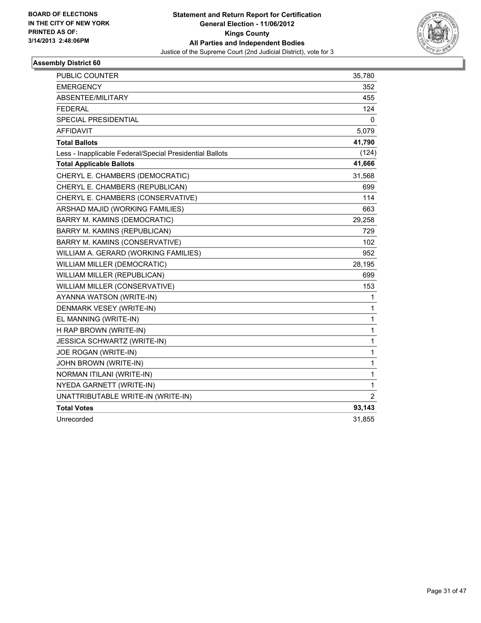

| PUBLIC COUNTER                                           | 35,780         |
|----------------------------------------------------------|----------------|
| <b>EMERGENCY</b>                                         | 352            |
| ABSENTEE/MILITARY                                        | 455            |
| <b>FEDERAL</b>                                           | 124            |
| <b>SPECIAL PRESIDENTIAL</b>                              | 0              |
| <b>AFFIDAVIT</b>                                         | 5,079          |
| <b>Total Ballots</b>                                     | 41,790         |
| Less - Inapplicable Federal/Special Presidential Ballots | (124)          |
| <b>Total Applicable Ballots</b>                          | 41,666         |
| CHERYL E. CHAMBERS (DEMOCRATIC)                          | 31,568         |
| CHERYL E. CHAMBERS (REPUBLICAN)                          | 699            |
| CHERYL E. CHAMBERS (CONSERVATIVE)                        | 114            |
| ARSHAD MAJID (WORKING FAMILIES)                          | 663            |
| <b>BARRY M. KAMINS (DEMOCRATIC)</b>                      | 29,258         |
| BARRY M. KAMINS (REPUBLICAN)                             | 729            |
| BARRY M. KAMINS (CONSERVATIVE)                           | 102            |
| WILLIAM A. GERARD (WORKING FAMILIES)                     | 952            |
| WILLIAM MILLER (DEMOCRATIC)                              | 28,195         |
| WILLIAM MILLER (REPUBLICAN)                              | 699            |
| WILLIAM MILLER (CONSERVATIVE)                            | 153            |
| AYANNA WATSON (WRITE-IN)                                 | 1              |
| DENMARK VESEY (WRITE-IN)                                 | 1              |
| EL MANNING (WRITE-IN)                                    | 1              |
| H RAP BROWN (WRITE-IN)                                   | 1              |
| JESSICA SCHWARTZ (WRITE-IN)                              | 1              |
| JOE ROGAN (WRITE-IN)                                     | 1              |
| JOHN BROWN (WRITE-IN)                                    | 1              |
| NORMAN ITILANI (WRITE-IN)                                | 1              |
| NYEDA GARNETT (WRITE-IN)                                 | 1              |
| UNATTRIBUTABLE WRITE-IN (WRITE-IN)                       | $\overline{2}$ |
| <b>Total Votes</b>                                       | 93,143         |
| Unrecorded                                               | 31,855         |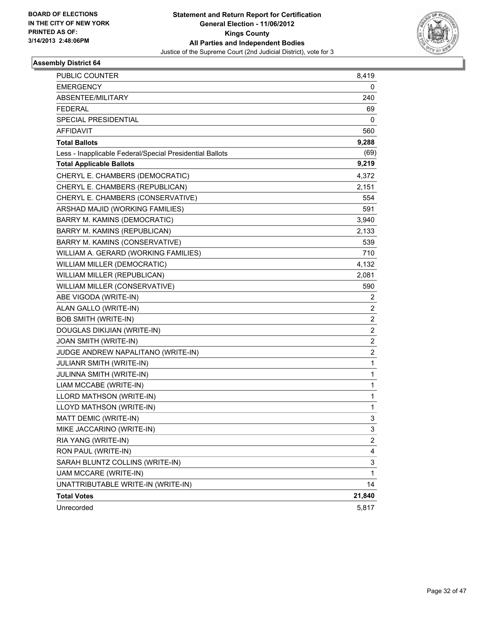

| PUBLIC COUNTER                                           | 8,419                   |
|----------------------------------------------------------|-------------------------|
| <b>EMERGENCY</b>                                         | 0                       |
| ABSENTEE/MILITARY                                        | 240                     |
| FEDERAL                                                  | 69                      |
| SPECIAL PRESIDENTIAL                                     | 0                       |
| AFFIDAVIT                                                | 560                     |
| <b>Total Ballots</b>                                     | 9,288                   |
| Less - Inapplicable Federal/Special Presidential Ballots | (69)                    |
| <b>Total Applicable Ballots</b>                          | 9,219                   |
| CHERYL E. CHAMBERS (DEMOCRATIC)                          | 4,372                   |
| CHERYL E. CHAMBERS (REPUBLICAN)                          | 2,151                   |
| CHERYL E. CHAMBERS (CONSERVATIVE)                        | 554                     |
| ARSHAD MAJID (WORKING FAMILIES)                          | 591                     |
| BARRY M. KAMINS (DEMOCRATIC)                             | 3,940                   |
| BARRY M. KAMINS (REPUBLICAN)                             | 2,133                   |
| BARRY M. KAMINS (CONSERVATIVE)                           | 539                     |
| WILLIAM A. GERARD (WORKING FAMILIES)                     | 710                     |
| <b>WILLIAM MILLER (DEMOCRATIC)</b>                       | 4,132                   |
| WILLIAM MILLER (REPUBLICAN)                              | 2,081                   |
| WILLIAM MILLER (CONSERVATIVE)                            | 590                     |
| ABE VIGODA (WRITE-IN)                                    | 2                       |
| ALAN GALLO (WRITE-IN)                                    | 2                       |
| <b>BOB SMITH (WRITE-IN)</b>                              | 2                       |
| DOUGLAS DIKIJIAN (WRITE-IN)                              | $\overline{c}$          |
| JOAN SMITH (WRITE-IN)                                    | $\overline{c}$          |
| JUDGE ANDREW NAPALITANO (WRITE-IN)                       | $\overline{\mathbf{c}}$ |
| JULIANR SMITH (WRITE-IN)                                 | 1                       |
| JULINNA SMITH (WRITE-IN)                                 | 1                       |
| LIAM MCCABE (WRITE-IN)                                   | 1                       |
| LLORD MATHSON (WRITE-IN)                                 | 1                       |
| LLOYD MATHSON (WRITE-IN)                                 | 1                       |
| MATT DEMIC (WRITE-IN)                                    | 3                       |
| MIKE JACCARINO (WRITE-IN)                                | 3                       |
| RIA YANG (WRITE-IN)                                      | $\overline{\mathbf{c}}$ |
| RON PAUL (WRITE-IN)                                      | 4                       |
| SARAH BLUNTZ COLLINS (WRITE-IN)                          | 3                       |
| UAM MCCARE (WRITE-IN)                                    | 1                       |
| UNATTRIBUTABLE WRITE-IN (WRITE-IN)                       | 14                      |
| <b>Total Votes</b>                                       | 21,840                  |
| Unrecorded                                               | 5,817                   |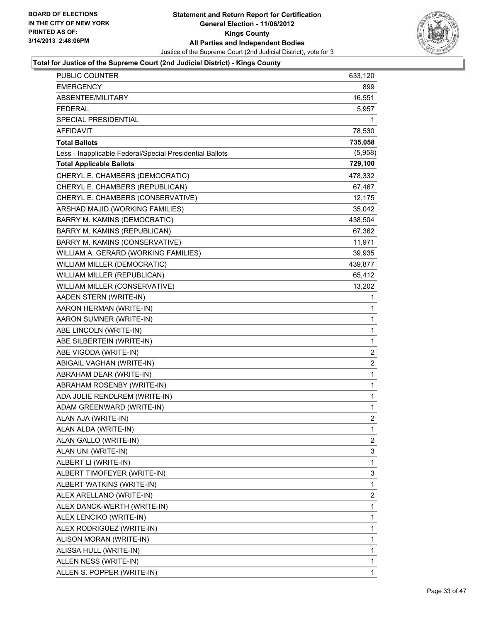

| <b>PUBLIC COUNTER</b>                                    | 633,120        |
|----------------------------------------------------------|----------------|
| <b>EMERGENCY</b>                                         | 899            |
| ABSENTEE/MILITARY                                        | 16,551         |
| <b>FEDERAL</b>                                           | 5,957          |
| SPECIAL PRESIDENTIAL                                     | 1              |
| AFFIDAVIT                                                | 78,530         |
| <b>Total Ballots</b>                                     | 735,058        |
| Less - Inapplicable Federal/Special Presidential Ballots | (5,958)        |
| <b>Total Applicable Ballots</b>                          | 729,100        |
| CHERYL E. CHAMBERS (DEMOCRATIC)                          | 478,332        |
| CHERYL E. CHAMBERS (REPUBLICAN)                          | 67,467         |
| CHERYL E. CHAMBERS (CONSERVATIVE)                        | 12,175         |
| ARSHAD MAJID (WORKING FAMILIES)                          | 35,042         |
| BARRY M. KAMINS (DEMOCRATIC)                             | 438,504        |
| BARRY M. KAMINS (REPUBLICAN)                             | 67,362         |
| BARRY M. KAMINS (CONSERVATIVE)                           | 11,971         |
| WILLIAM A. GERARD (WORKING FAMILIES)                     | 39,935         |
| WILLIAM MILLER (DEMOCRATIC)                              | 439,877        |
| WILLIAM MILLER (REPUBLICAN)                              | 65,412         |
| WILLIAM MILLER (CONSERVATIVE)                            | 13,202         |
| AADEN STERN (WRITE-IN)                                   | 1              |
| AARON HERMAN (WRITE-IN)                                  | 1              |
| AARON SUMNER (WRITE-IN)                                  | 1              |
| ABE LINCOLN (WRITE-IN)                                   | 1              |
| ABE SILBERTEIN (WRITE-IN)                                | 1              |
| ABE VIGODA (WRITE-IN)                                    | 2              |
| ABIGAIL VAGHAN (WRITE-IN)                                | 2              |
| ABRAHAM DEAR (WRITE-IN)                                  | 1              |
| ABRAHAM ROSENBY (WRITE-IN)                               | 1              |
| ADA JULIE RENDLREM (WRITE-IN)                            | 1              |
| ADAM GREENWARD (WRITE-IN)                                | 1              |
| ALAN AJA (WRITE-IN)                                      | $\overline{2}$ |
| ALAN ALDA (WRITE-IN)                                     | 1              |
| ALAN GALLO (WRITE-IN)                                    | 2              |
| ALAN UNI (WRITE-IN)                                      | 3              |
| ALBERT LI (WRITE-IN)                                     | 1              |
| ALBERT TIMOFEYER (WRITE-IN)                              | 3              |
| ALBERT WATKINS (WRITE-IN)                                | 1              |
| ALEX ARELLANO (WRITE-IN)                                 | 2              |
| ALEX DANCK-WERTH (WRITE-IN)                              | 1              |
| ALEX LENCIKO (WRITE-IN)                                  | 1              |
| ALEX RODRIGUEZ (WRITE-IN)                                | 1              |
| ALISON MORAN (WRITE-IN)                                  | 1              |
| ALISSA HULL (WRITE-IN)                                   | 1              |
| ALLEN NESS (WRITE-IN)                                    | 1              |
| ALLEN S. POPPER (WRITE-IN)                               | 1              |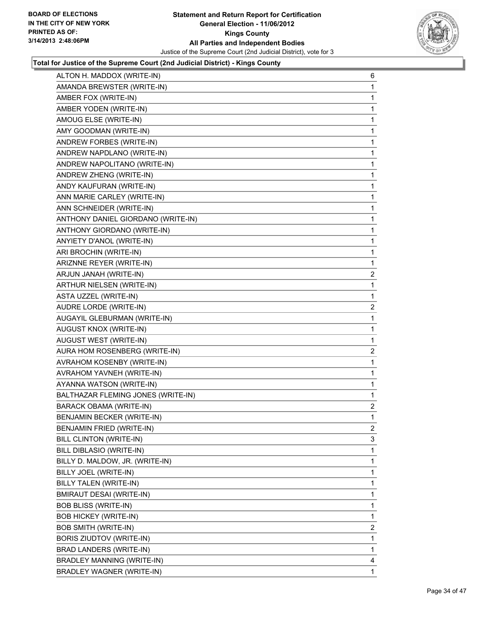

| ALTON H. MADDOX (WRITE-IN)         | 6              |
|------------------------------------|----------------|
| AMANDA BREWSTER (WRITE-IN)         | 1              |
| AMBER FOX (WRITE-IN)               | 1              |
| AMBER YODEN (WRITE-IN)             | 1              |
| AMOUG ELSE (WRITE-IN)              | 1              |
| AMY GOODMAN (WRITE-IN)             | 1              |
| ANDREW FORBES (WRITE-IN)           | 1              |
| ANDREW NAPDLANO (WRITE-IN)         | 1              |
| ANDREW NAPOLITANO (WRITE-IN)       | 1              |
| ANDREW ZHENG (WRITE-IN)            | 1              |
| ANDY KAUFURAN (WRITE-IN)           | 1              |
| ANN MARIE CARLEY (WRITE-IN)        | 1              |
| ANN SCHNEIDER (WRITE-IN)           | 1              |
| ANTHONY DANIEL GIORDANO (WRITE-IN) | 1              |
| ANTHONY GIORDANO (WRITE-IN)        | 1              |
| ANYIETY D'ANOL (WRITE-IN)          | 1              |
| ARI BROCHIN (WRITE-IN)             | 1              |
| ARIZNNE REYER (WRITE-IN)           | 1              |
| ARJUN JANAH (WRITE-IN)             | 2              |
| ARTHUR NIELSEN (WRITE-IN)          | 1              |
| <b>ASTA UZZEL (WRITE-IN)</b>       | 1              |
| AUDRE LORDE (WRITE-IN)             | $\overline{2}$ |
| AUGAYIL GLEBURMAN (WRITE-IN)       | 1              |
| <b>AUGUST KNOX (WRITE-IN)</b>      | 1              |
| AUGUST WEST (WRITE-IN)             | 1              |
| AURA HOM ROSENBERG (WRITE-IN)      | $\overline{c}$ |
| AVRAHOM KOSENBY (WRITE-IN)         | 1              |
| AVRAHOM YAVNEH (WRITE-IN)          | 1              |
| AYANNA WATSON (WRITE-IN)           | 1              |
| BALTHAZAR FLEMING JONES (WRITE-IN) | 1              |
| <b>BARACK OBAMA (WRITE-IN)</b>     | 2              |
| BENJAMIN BECKER (WRITE-IN)         | 1              |
| BENJAMIN FRIED (WRITE-IN)          | 2              |
| BILL CLINTON (WRITE-IN)            | 3              |
| BILL DIBLASIO (WRITE-IN)           | 1              |
| BILLY D. MALDOW, JR. (WRITE-IN)    | 1              |
| BILLY JOEL (WRITE-IN)              | 1              |
| BILLY TALEN (WRITE-IN)             | $\mathbf{1}$   |
| BMIRAUT DESAI (WRITE-IN)           | 1              |
| <b>BOB BLISS (WRITE-IN)</b>        | 1              |
| <b>BOB HICKEY (WRITE-IN)</b>       | 1              |
| <b>BOB SMITH (WRITE-IN)</b>        | 2              |
| BORIS ZIUDTOV (WRITE-IN)           | 1              |
| BRAD LANDERS (WRITE-IN)            | $\mathbf{1}$   |
| BRADLEY MANNING (WRITE-IN)         | 4              |
| BRADLEY WAGNER (WRITE-IN)          | $\mathbf{1}$   |
|                                    |                |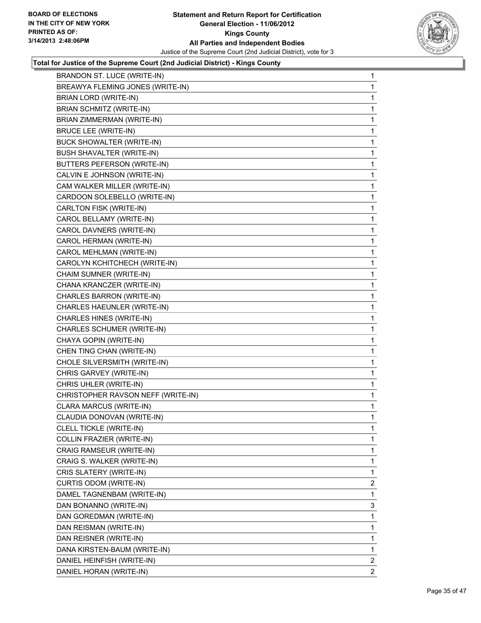

| BRANDON ST. LUCE (WRITE-IN)        | 1              |
|------------------------------------|----------------|
| BREAWYA FLEMING JONES (WRITE-IN)   | 1              |
| BRIAN LORD (WRITE-IN)              | 1              |
| <b>BRIAN SCHMITZ (WRITE-IN)</b>    | 1              |
| BRIAN ZIMMERMAN (WRITE-IN)         | 1              |
| <b>BRUCE LEE (WRITE-IN)</b>        | 1              |
| BUCK SHOWALTER (WRITE-IN)          | 1              |
| <b>BUSH SHAVALTER (WRITE-IN)</b>   | 1              |
| BUTTERS PEFERSON (WRITE-IN)        | 1              |
| CALVIN E JOHNSON (WRITE-IN)        | 1              |
| CAM WALKER MILLER (WRITE-IN)       | 1              |
| CARDOON SOLEBELLO (WRITE-IN)       | 1              |
| CARLTON FISK (WRITE-IN)            | 1              |
| CAROL BELLAMY (WRITE-IN)           | 1              |
| CAROL DAVNERS (WRITE-IN)           | 1              |
| CAROL HERMAN (WRITE-IN)            | 1              |
| CAROL MEHLMAN (WRITE-IN)           | 1              |
| CAROLYN KCHITCHECH (WRITE-IN)      | 1              |
| CHAIM SUMNER (WRITE-IN)            | 1              |
| CHANA KRANCZER (WRITE-IN)          | 1              |
| CHARLES BARRON (WRITE-IN)          | 1              |
| CHARLES HAEUNLER (WRITE-IN)        | 1              |
| CHARLES HINES (WRITE-IN)           | 1              |
| CHARLES SCHUMER (WRITE-IN)         | 1              |
| CHAYA GOPIN (WRITE-IN)             | 1              |
| CHEN TING CHAN (WRITE-IN)          | 1              |
| CHOLE SILVERSMITH (WRITE-IN)       | 1              |
| CHRIS GARVEY (WRITE-IN)            | 1              |
| CHRIS UHLER (WRITE-IN)             | 1              |
| CHRISTOPHER RAVSON NEFF (WRITE-IN) | 1              |
| CLARA MARCUS (WRITE-IN)            | 1              |
| CLAUDIA DONOVAN (WRITE-IN)         | 1              |
| CLELL TICKLE (WRITE-IN)            | 1              |
| COLLIN FRAZIER (WRITE-IN)          | 1              |
| CRAIG RAMSEUR (WRITE-IN)           | 1              |
| CRAIG S. WALKER (WRITE-IN)         | 1              |
| CRIS SLATERY (WRITE-IN)            | 1              |
| CURTIS ODOM (WRITE-IN)             | $\overline{2}$ |
| DAMEL TAGNENBAM (WRITE-IN)         | 1              |
| DAN BONANNO (WRITE-IN)             | 3              |
| DAN GOREDMAN (WRITE-IN)            | 1              |
| DAN REISMAN (WRITE-IN)             | 1              |
| DAN REISNER (WRITE-IN)             | 1              |
| DANA KIRSTEN-BAUM (WRITE-IN)       | 1              |
| DANIEL HEINFISH (WRITE-IN)         | $\overline{2}$ |
| DANIEL HORAN (WRITE-IN)            | $\mathbf{2}$   |
|                                    |                |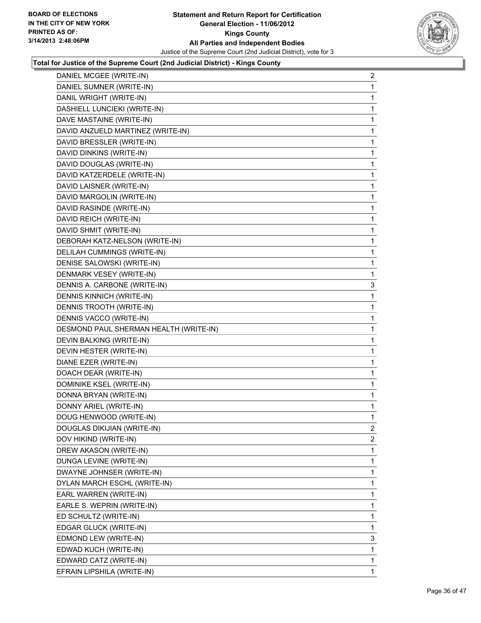

| DANIEL MCGEE (WRITE-IN)                | 2 |
|----------------------------------------|---|
| DANIEL SUMNER (WRITE-IN)               | 1 |
| DANIL WRIGHT (WRITE-IN)                | 1 |
| DASHIELL LUNCIEKI (WRITE-IN)           | 1 |
| DAVE MASTAINE (WRITE-IN)               | 1 |
| DAVID ANZUELD MARTINEZ (WRITE-IN)      | 1 |
| DAVID BRESSLER (WRITE-IN)              | 1 |
| DAVID DINKINS (WRITE-IN)               | 1 |
| DAVID DOUGLAS (WRITE-IN)               | 1 |
| DAVID KATZERDELE (WRITE-IN)            | 1 |
| DAVID LAISNER (WRITE-IN)               | 1 |
| DAVID MARGOLIN (WRITE-IN)              | 1 |
| DAVID RASINDE (WRITE-IN)               | 1 |
| DAVID REICH (WRITE-IN)                 | 1 |
| DAVID SHMIT (WRITE-IN)                 | 1 |
| DEBORAH KATZ-NELSON (WRITE-IN)         | 1 |
| DELILAH CUMMINGS (WRITE-IN)            | 1 |
| DENISE SALOWSKI (WRITE-IN)             | 1 |
| DENMARK VESEY (WRITE-IN)               | 1 |
| DENNIS A. CARBONE (WRITE-IN)           | 3 |
| <b>DENNIS KINNICH (WRITE-IN)</b>       | 1 |
| DENNIS TROOTH (WRITE-IN)               | 1 |
| DENNIS VACCO (WRITE-IN)                | 1 |
| DESMOND PAUL SHERMAN HEALTH (WRITE-IN) | 1 |
| DEVIN BALKING (WRITE-IN)               | 1 |
| DEVIN HESTER (WRITE-IN)                | 1 |
| DIANE EZER (WRITE-IN)                  | 1 |
| DOACH DEAR (WRITE-IN)                  | 1 |
| DOMINIKE KSEL (WRITE-IN)               | 1 |
| DONNA BRYAN (WRITE-IN)                 | 1 |
| DONNY ARIEL (WRITE-IN)                 | 1 |
| DOUG HENWOOD (WRITE-IN)                | 1 |
| DOUGLAS DIKIJIAN (WRITE-IN)            | 2 |
| DOV HIKIND (WRITE-IN)                  | 2 |
| DREW AKASON (WRITE-IN)                 | 1 |
| DUNGA LEVINE (WRITE-IN)                | 1 |
| DWAYNE JOHNSER (WRITE-IN)              | 1 |
| DYLAN MARCH ESCHL (WRITE-IN)           | 1 |
| EARL WARREN (WRITE-IN)                 | 1 |
| EARLE S. WEPRIN (WRITE-IN)             | 1 |
| ED SCHULTZ (WRITE-IN)                  | 1 |
| EDGAR GLUCK (WRITE-IN)                 | 1 |
| EDMOND LEW (WRITE-IN)                  | 3 |
| EDWAD KUCH (WRITE-IN)                  | 1 |
| EDWARD CATZ (WRITE-IN)                 | 1 |
|                                        |   |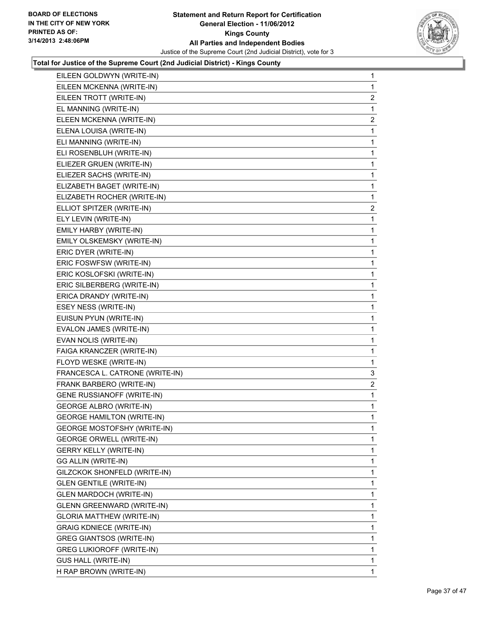

| EILEEN GOLDWYN (WRITE-IN)          | 1            |
|------------------------------------|--------------|
| EILEEN MCKENNA (WRITE-IN)          | 1            |
| EILEEN TROTT (WRITE-IN)            | $\mathbf{2}$ |
| EL MANNING (WRITE-IN)              | 1            |
| ELEEN MCKENNA (WRITE-IN)           | 2            |
| ELENA LOUISA (WRITE-IN)            | 1            |
| ELI MANNING (WRITE-IN)             | 1            |
| ELI ROSENBLUH (WRITE-IN)           | 1            |
| ELIEZER GRUEN (WRITE-IN)           | 1            |
| ELIEZER SACHS (WRITE-IN)           | 1            |
| ELIZABETH BAGET (WRITE-IN)         | 1            |
| ELIZABETH ROCHER (WRITE-IN)        | 1            |
| ELLIOT SPITZER (WRITE-IN)          | $\mathbf{2}$ |
| ELY LEVIN (WRITE-IN)               | 1            |
| EMILY HARBY (WRITE-IN)             | 1            |
| EMILY OLSKEMSKY (WRITE-IN)         | 1            |
| ERIC DYER (WRITE-IN)               | 1            |
| ERIC FOSWFSW (WRITE-IN)            | 1            |
| ERIC KOSLOFSKI (WRITE-IN)          | 1            |
| ERIC SILBERBERG (WRITE-IN)         | 1            |
| ERICA DRANDY (WRITE-IN)            | 1            |
| ESEY NESS (WRITE-IN)               | 1            |
| EUISUN PYUN (WRITE-IN)             | 1            |
| EVALON JAMES (WRITE-IN)            | 1            |
| EVAN NOLIS (WRITE-IN)              | 1            |
| FAIGA KRANCZER (WRITE-IN)          | 1            |
| FLOYD WESKE (WRITE-IN)             | 1            |
| FRANCESCA L. CATRONE (WRITE-IN)    | 3            |
| FRANK BARBERO (WRITE-IN)           | 2            |
| GENE RUSSIANOFF (WRITE-IN)         | 1            |
| <b>GEORGE ALBRO (WRITE-IN)</b>     | $\mathbf 1$  |
| <b>GEORGE HAMILTON (WRITE-IN)</b>  | 1            |
| <b>GEORGE MOSTOFSHY (WRITE-IN)</b> | 1            |
| <b>GEORGE ORWELL (WRITE-IN)</b>    | 1            |
| <b>GERRY KELLY (WRITE-IN)</b>      | 1            |
| GG ALLIN (WRITE-IN)                | 1            |
| GILZCKOK SHONFELD (WRITE-IN)       | 1            |
| <b>GLEN GENTILE (WRITE-IN)</b>     | 1            |
| <b>GLEN MARDOCH (WRITE-IN)</b>     | 1            |
| GLENN GREENWARD (WRITE-IN)         | 1            |
| <b>GLORIA MATTHEW (WRITE-IN)</b>   | 1            |
| <b>GRAIG KDNIECE (WRITE-IN)</b>    | 1            |
| <b>GREG GIANTSOS (WRITE-IN)</b>    | 1            |
| <b>GREG LUKIOROFF (WRITE-IN)</b>   | 1            |
| <b>GUS HALL (WRITE-IN)</b>         | 1            |
| H RAP BROWN (WRITE-IN)             | 1.           |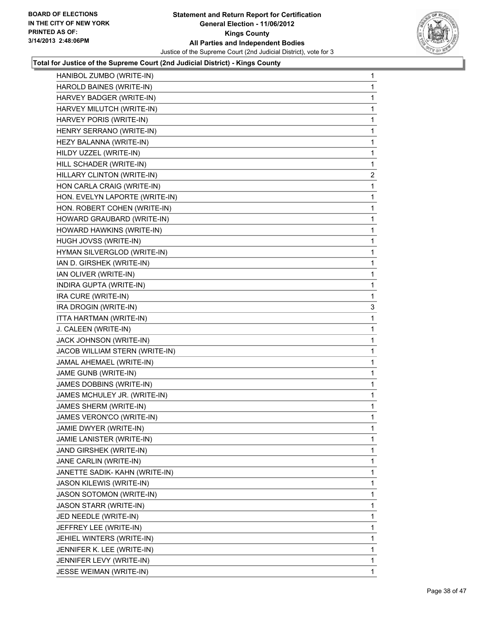

| HANIBOL ZUMBO (WRITE-IN)        | 1              |
|---------------------------------|----------------|
| HAROLD BAINES (WRITE-IN)        | 1              |
| HARVEY BADGER (WRITE-IN)        | 1              |
| HARVEY MILUTCH (WRITE-IN)       | 1              |
| HARVEY PORIS (WRITE-IN)         | 1              |
| HENRY SERRANO (WRITE-IN)        | 1              |
| HEZY BALANNA (WRITE-IN)         | 1              |
| HILDY UZZEL (WRITE-IN)          | 1              |
| HILL SCHADER (WRITE-IN)         | 1              |
| HILLARY CLINTON (WRITE-IN)      | $\overline{c}$ |
| HON CARLA CRAIG (WRITE-IN)      | 1              |
| HON. EVELYN LAPORTE (WRITE-IN)  | 1              |
| HON. ROBERT COHEN (WRITE-IN)    | 1              |
| HOWARD GRAUBARD (WRITE-IN)      | 1              |
| HOWARD HAWKINS (WRITE-IN)       | 1              |
| HUGH JOVSS (WRITE-IN)           | 1              |
| HYMAN SILVERGLOD (WRITE-IN)     | 1              |
| IAN D. GIRSHEK (WRITE-IN)       | 1              |
| IAN OLIVER (WRITE-IN)           | 1              |
| INDIRA GUPTA (WRITE-IN)         | 1              |
| IRA CURE (WRITE-IN)             | 1              |
| IRA DROGIN (WRITE-IN)           | 3              |
| ITTA HARTMAN (WRITE-IN)         | 1              |
| J. CALEEN (WRITE-IN)            | 1              |
| JACK JOHNSON (WRITE-IN)         | 1              |
| JACOB WILLIAM STERN (WRITE-IN)  | 1              |
| JAMAL AHEMAEL (WRITE-IN)        | 1              |
| JAME GUNB (WRITE-IN)            | 1              |
| JAMES DOBBINS (WRITE-IN)        | 1              |
| JAMES MCHULEY JR. (WRITE-IN)    | 1              |
| JAMES SHERM (WRITE-IN)          | 1              |
| JAMES VERON'CO (WRITE-IN)       | 1              |
| JAMIE DWYER (WRITE-IN)          | 1              |
| JAMIE LANISTER (WRITE-IN)       | 1              |
| JAND GIRSHEK (WRITE-IN)         | 1              |
| JANE CARLIN (WRITE-IN)          | 1              |
| JANETTE SADIK- KAHN (WRITE-IN)  | 1              |
| JASON KILEWIS (WRITE-IN)        | 1              |
| <b>JASON SOTOMON (WRITE-IN)</b> | 1              |
| <b>JASON STARR (WRITE-IN)</b>   | 1              |
| JED NEEDLE (WRITE-IN)           | 1              |
| JEFFREY LEE (WRITE-IN)          | 1              |
| JEHIEL WINTERS (WRITE-IN)       | 1              |
| JENNIFER K. LEE (WRITE-IN)      | 1              |
| JENNIFER LEVY (WRITE-IN)        | 1              |
| JESSE WEIMAN (WRITE-IN)         | 1              |
|                                 |                |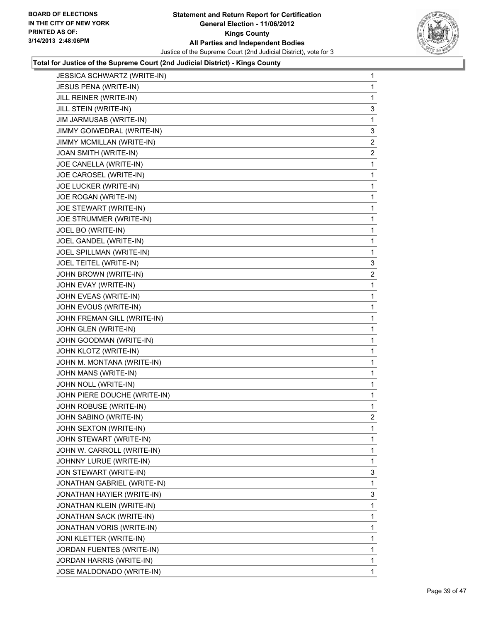

| JESSICA SCHWARTZ (WRITE-IN)  | 1            |
|------------------------------|--------------|
| <b>JESUS PENA (WRITE-IN)</b> | 1            |
| JILL REINER (WRITE-IN)       | 1            |
| JILL STEIN (WRITE-IN)        | 3            |
| JIM JARMUSAB (WRITE-IN)      | 1            |
| JIMMY GOIWEDRAL (WRITE-IN)   | 3            |
| JIMMY MCMILLAN (WRITE-IN)    | $\mathbf{2}$ |
| JOAN SMITH (WRITE-IN)        | 2            |
| JOE CANELLA (WRITE-IN)       | 1            |
| JOE CAROSEL (WRITE-IN)       | 1            |
| JOE LUCKER (WRITE-IN)        | 1            |
| JOE ROGAN (WRITE-IN)         | 1            |
| JOE STEWART (WRITE-IN)       | 1            |
| JOE STRUMMER (WRITE-IN)      | 1            |
| JOEL BO (WRITE-IN)           | 1            |
| JOEL GANDEL (WRITE-IN)       | 1            |
| JOEL SPILLMAN (WRITE-IN)     | 1            |
| JOEL TEITEL (WRITE-IN)       | 3            |
| JOHN BROWN (WRITE-IN)        | 2            |
| JOHN EVAY (WRITE-IN)         | 1            |
| JOHN EVEAS (WRITE-IN)        | 1            |
| JOHN EVOUS (WRITE-IN)        | 1            |
| JOHN FREMAN GILL (WRITE-IN)  | 1            |
| JOHN GLEN (WRITE-IN)         | 1            |
| JOHN GOODMAN (WRITE-IN)      | 1            |
| JOHN KLOTZ (WRITE-IN)        | 1            |
| JOHN M. MONTANA (WRITE-IN)   | 1            |
| JOHN MANS (WRITE-IN)         | 1            |
| JOHN NOLL (WRITE-IN)         | 1            |
| JOHN PIERE DOUCHE (WRITE-IN) | 1            |
| JOHN ROBUSE (WRITE-IN)       | 1            |
| JOHN SABINO (WRITE-IN)       | 2            |
| JOHN SEXTON (WRITE-IN)       | 1            |
| JOHN STEWART (WRITE-IN)      | 1            |
| JOHN W. CARROLL (WRITE-IN)   | 1            |
| JOHNNY LURUE (WRITE-IN)      | 1            |
| JON STEWART (WRITE-IN)       | 3            |
| JONATHAN GABRIEL (WRITE-IN)  | 1            |
| JONATHAN HAYIER (WRITE-IN)   | 3            |
| JONATHAN KLEIN (WRITE-IN)    | 1            |
| JONATHAN SACK (WRITE-IN)     | 1            |
| JONATHAN VORIS (WRITE-IN)    | 1            |
| JONI KLETTER (WRITE-IN)      | 1            |
| JORDAN FUENTES (WRITE-IN)    | 1            |
| JORDAN HARRIS (WRITE-IN)     | 1            |
| JOSE MALDONADO (WRITE-IN)    | 1            |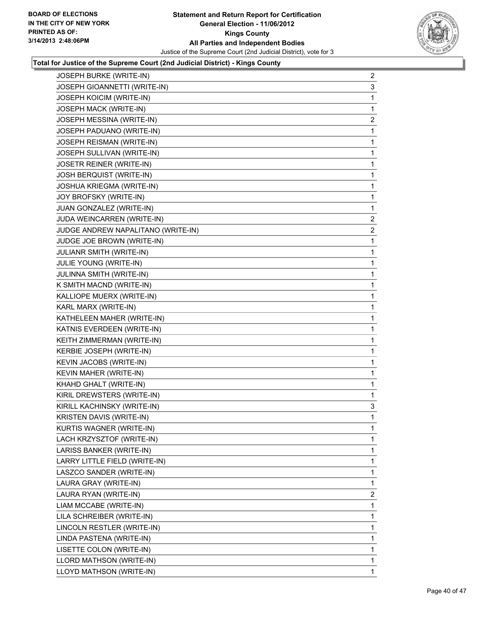

| JOSEPH BURKE (WRITE-IN)            | 2            |
|------------------------------------|--------------|
| JOSEPH GIOANNETTI (WRITE-IN)       | 3            |
| JOSEPH KOICIM (WRITE-IN)           | 1            |
| JOSEPH MACK (WRITE-IN)             | 1            |
| JOSEPH MESSINA (WRITE-IN)          | 2            |
| JOSEPH PADUANO (WRITE-IN)          | 1            |
| JOSEPH REISMAN (WRITE-IN)          | 1            |
| JOSEPH SULLIVAN (WRITE-IN)         | 1            |
| JOSETR REINER (WRITE-IN)           | 1            |
| JOSH BERQUIST (WRITE-IN)           | 1            |
| JOSHUA KRIEGMA (WRITE-IN)          | 1            |
| JOY BROFSKY (WRITE-IN)             | 1            |
| JUAN GONZALEZ (WRITE-IN)           | 1            |
| JUDA WEINCARREN (WRITE-IN)         | 2            |
| JUDGE ANDREW NAPALITANO (WRITE-IN) | 2            |
| JUDGE JOE BROWN (WRITE-IN)         | 1            |
| JULIANR SMITH (WRITE-IN)           | 1            |
| JULIE YOUNG (WRITE-IN)             | 1            |
| JULINNA SMITH (WRITE-IN)           | 1            |
| K SMITH MACND (WRITE-IN)           | 1            |
| KALLIOPE MUERX (WRITE-IN)          | 1            |
| KARL MARX (WRITE-IN)               | 1            |
| KATHELEEN MAHER (WRITE-IN)         | 1            |
| KATNIS EVERDEEN (WRITE-IN)         | 1            |
| KEITH ZIMMERMAN (WRITE-IN)         | 1            |
| KERBIE JOSEPH (WRITE-IN)           | 1            |
| KEVIN JACOBS (WRITE-IN)            | 1            |
| KEVIN MAHER (WRITE-IN)             | 1            |
| KHAHD GHALT (WRITE-IN)             | 1            |
| KIRIL DREWSTERS (WRITE-IN)         | 1            |
| KIRILL KACHINSKY (WRITE-IN)        | 3            |
| KRISTEN DAVIS (WRITE-IN)           | $\mathbf{1}$ |
| KURTIS WAGNER (WRITE-IN)           | 1            |
| LACH KRZYSZTOF (WRITE-IN)          | 1            |
| LARISS BANKER (WRITE-IN)           | 1            |
| LARRY LITTLE FIELD (WRITE-IN)      | 1            |
| LASZCO SANDER (WRITE-IN)           | 1            |
| LAURA GRAY (WRITE-IN)              | 1            |
| LAURA RYAN (WRITE-IN)              | 2            |
| LIAM MCCABE (WRITE-IN)             | 1            |
| LILA SCHREIBER (WRITE-IN)          | 1            |
| LINCOLN RESTLER (WRITE-IN)         | 1            |
| LINDA PASTENA (WRITE-IN)           | 1            |
| LISETTE COLON (WRITE-IN)           | 1            |
| LLORD MATHSON (WRITE-IN)           | 1            |
| LLOYD MATHSON (WRITE-IN)           | 1.           |
|                                    |              |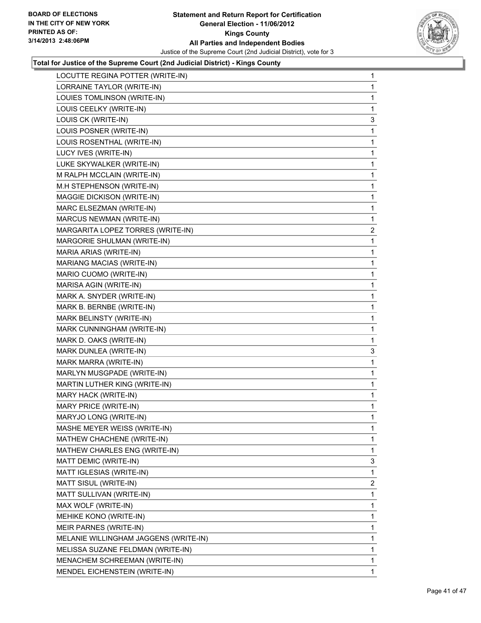

| LOCUTTE REGINA POTTER (WRITE-IN)      | 1            |
|---------------------------------------|--------------|
| LORRAINE TAYLOR (WRITE-IN)            | 1            |
| LOUIES TOMLINSON (WRITE-IN)           | 1            |
| LOUIS CEELKY (WRITE-IN)               | 1            |
| LOUIS CK (WRITE-IN)                   | 3            |
| LOUIS POSNER (WRITE-IN)               | 1            |
| LOUIS ROSENTHAL (WRITE-IN)            | 1            |
| LUCY IVES (WRITE-IN)                  | 1            |
| LUKE SKYWALKER (WRITE-IN)             | 1            |
| M RALPH MCCLAIN (WRITE-IN)            | 1            |
| M.H STEPHENSON (WRITE-IN)             | 1            |
| MAGGIE DICKISON (WRITE-IN)            | 1            |
| MARC ELSEZMAN (WRITE-IN)              | 1            |
| MARCUS NEWMAN (WRITE-IN)              | 1            |
| MARGARITA LOPEZ TORRES (WRITE-IN)     | 2            |
| MARGORIE SHULMAN (WRITE-IN)           | 1            |
| MARIA ARIAS (WRITE-IN)                | 1            |
| MARIANG MACIAS (WRITE-IN)             | 1            |
| MARIO CUOMO (WRITE-IN)                | 1            |
| MARISA AGIN (WRITE-IN)                | 1            |
| MARK A. SNYDER (WRITE-IN)             | 1            |
| MARK B. BERNBE (WRITE-IN)             | 1            |
| MARK BELINSTY (WRITE-IN)              | 1            |
| MARK CUNNINGHAM (WRITE-IN)            | 1            |
| MARK D. OAKS (WRITE-IN)               | 1            |
| MARK DUNLEA (WRITE-IN)                | 3            |
| MARK MARRA (WRITE-IN)                 | 1            |
| MARLYN MUSGPADE (WRITE-IN)            | 1            |
| MARTIN LUTHER KING (WRITE-IN)         | 1            |
| MARY HACK (WRITE-IN)                  | 1            |
| MARY PRICE (WRITE-IN)                 | 1            |
| MARYJO LONG (WRITE-IN)                | 1            |
| MASHE MEYER WEISS (WRITE-IN)          | 1            |
| MATHEW CHACHENE (WRITE-IN)            | 1            |
| MATHEW CHARLES ENG (WRITE-IN)         | 1            |
| MATT DEMIC (WRITE-IN)                 | 3            |
| MATT IGLESIAS (WRITE-IN)              | 1            |
| MATT SISUL (WRITE-IN)                 | 2            |
| MATT SULLIVAN (WRITE-IN)              | 1            |
| MAX WOLF (WRITE-IN)                   | 1            |
| MEHIKE KONO (WRITE-IN)                | 1            |
| MEIR PARNES (WRITE-IN)                | 1            |
| MELANIE WILLINGHAM JAGGENS (WRITE-IN) | 1            |
| MELISSA SUZANE FELDMAN (WRITE-IN)     | 1            |
| MENACHEM SCHREEMAN (WRITE-IN)         | 1            |
| MENDEL EICHENSTEIN (WRITE-IN)         | $\mathbf{1}$ |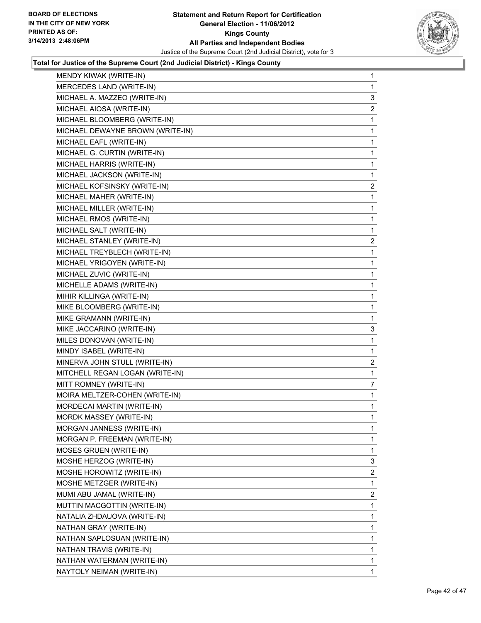

| MENDY KIWAK (WRITE-IN)           | 1              |
|----------------------------------|----------------|
| MERCEDES LAND (WRITE-IN)         | 1              |
| MICHAEL A. MAZZEO (WRITE-IN)     | 3              |
| MICHAEL AIOSA (WRITE-IN)         | 2              |
| MICHAEL BLOOMBERG (WRITE-IN)     | 1              |
| MICHAEL DEWAYNE BROWN (WRITE-IN) | 1              |
| MICHAEL EAFL (WRITE-IN)          | 1              |
| MICHAEL G. CURTIN (WRITE-IN)     | 1              |
| MICHAEL HARRIS (WRITE-IN)        | 1              |
| MICHAEL JACKSON (WRITE-IN)       | 1              |
| MICHAEL KOFSINSKY (WRITE-IN)     | $\overline{2}$ |
| MICHAEL MAHER (WRITE-IN)         | 1              |
| MICHAEL MILLER (WRITE-IN)        | 1              |
| MICHAEL RMOS (WRITE-IN)          | 1              |
| MICHAEL SALT (WRITE-IN)          | 1              |
| MICHAEL STANLEY (WRITE-IN)       | 2              |
| MICHAEL TREYBLECH (WRITE-IN)     | 1              |
| MICHAEL YRIGOYEN (WRITE-IN)      | 1              |
| MICHAEL ZUVIC (WRITE-IN)         | 1              |
| MICHELLE ADAMS (WRITE-IN)        | 1              |
| MIHIR KILLINGA (WRITE-IN)        | 1              |
| MIKE BLOOMBERG (WRITE-IN)        | 1              |
| MIKE GRAMANN (WRITE-IN)          | 1              |
| MIKE JACCARINO (WRITE-IN)        | 3              |
| MILES DONOVAN (WRITE-IN)         | 1              |
| MINDY ISABEL (WRITE-IN)          | 1              |
| MINERVA JOHN STULL (WRITE-IN)    | 2              |
| MITCHELL REGAN LOGAN (WRITE-IN)  | 1              |
| MITT ROMNEY (WRITE-IN)           | 7              |
| MOIRA MELTZER-COHEN (WRITE-IN)   | 1              |
| MORDECAI MARTIN (WRITE-IN)       | 1              |
| <b>MORDK MASSEY (WRITE-IN)</b>   | 1              |
| MORGAN JANNESS (WRITE-IN)        | 1              |
| MORGAN P. FREEMAN (WRITE-IN)     | 1              |
| MOSES GRUEN (WRITE-IN)           | 1              |
| MOSHE HERZOG (WRITE-IN)          | 3              |
| MOSHE HOROWITZ (WRITE-IN)        | 2              |
| MOSHE METZGER (WRITE-IN)         | 1              |
| MUMI ABU JAMAL (WRITE-IN)        | 2              |
| MUTTIN MACGOTTIN (WRITE-IN)      | 1              |
| NATALIA ZHDAUOVA (WRITE-IN)      | 1              |
| NATHAN GRAY (WRITE-IN)           | 1              |
| NATHAN SAPLOSUAN (WRITE-IN)      | 1              |
| NATHAN TRAVIS (WRITE-IN)         | 1              |
| NATHAN WATERMAN (WRITE-IN)       | 1              |
| NAYTOLY NEIMAN (WRITE-IN)        | 1              |
|                                  |                |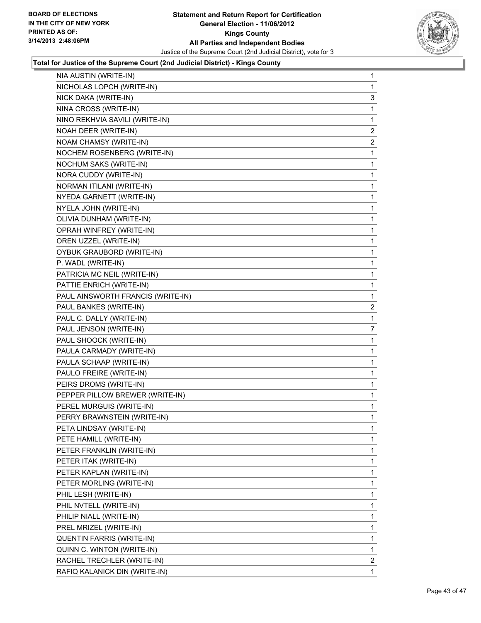

| NIA AUSTIN (WRITE-IN)             | 1              |
|-----------------------------------|----------------|
| NICHOLAS LOPCH (WRITE-IN)         | 1              |
| NICK DAKA (WRITE-IN)              | 3              |
| NINA CROSS (WRITE-IN)             | 1              |
| NINO REKHVIA SAVILI (WRITE-IN)    | 1              |
| NOAH DEER (WRITE-IN)              | 2              |
| NOAM CHAMSY (WRITE-IN)            | $\mathbf{2}$   |
| NOCHEM ROSENBERG (WRITE-IN)       | 1              |
| NOCHUM SAKS (WRITE-IN)            | 1              |
| NORA CUDDY (WRITE-IN)             | 1              |
| NORMAN ITILANI (WRITE-IN)         | 1              |
| NYEDA GARNETT (WRITE-IN)          | 1              |
| NYELA JOHN (WRITE-IN)             | 1              |
| OLIVIA DUNHAM (WRITE-IN)          | 1              |
| OPRAH WINFREY (WRITE-IN)          | 1              |
| OREN UZZEL (WRITE-IN)             | 1              |
| OYBUK GRAUBORD (WRITE-IN)         | 1              |
| P. WADL (WRITE-IN)                | 1              |
| PATRICIA MC NEIL (WRITE-IN)       | 1              |
| PATTIE ENRICH (WRITE-IN)          | 1              |
| PAUL AINSWORTH FRANCIS (WRITE-IN) | 1              |
| PAUL BANKES (WRITE-IN)            | $\overline{c}$ |
| PAUL C. DALLY (WRITE-IN)          | 1              |
| PAUL JENSON (WRITE-IN)            | 7              |
| PAUL SHOOCK (WRITE-IN)            | 1              |
| PAULA CARMADY (WRITE-IN)          | 1              |
| PAULA SCHAAP (WRITE-IN)           | 1              |
| PAULO FREIRE (WRITE-IN)           | 1              |
| PEIRS DROMS (WRITE-IN)            | 1              |
| PEPPER PILLOW BREWER (WRITE-IN)   | 1              |
| PEREL MURGUIS (WRITE-IN)          | 1              |
| PERRY BRAWNSTEIN (WRITE-IN)       | 1              |
| PETA LINDSAY (WRITE-IN)           | 1              |
| PETE HAMILL (WRITE-IN)            | 1              |
| PETER FRANKLIN (WRITE-IN)         | 1              |
| PETER ITAK (WRITE-IN)             | 1              |
| PETER KAPLAN (WRITE-IN)           | 1              |
| PETER MORLING (WRITE-IN)          | 1              |
| PHIL LESH (WRITE-IN)              | 1              |
| PHIL NVTELL (WRITE-IN)            | 1              |
| PHILIP NIALL (WRITE-IN)           | 1              |
| PREL MRIZEL (WRITE-IN)            | 1              |
| QUENTIN FARRIS (WRITE-IN)         | 1              |
| QUINN C. WINTON (WRITE-IN)        | 1              |
| RACHEL TRECHLER (WRITE-IN)        | 2              |
| RAFIQ KALANICK DIN (WRITE-IN)     | 1.             |
|                                   |                |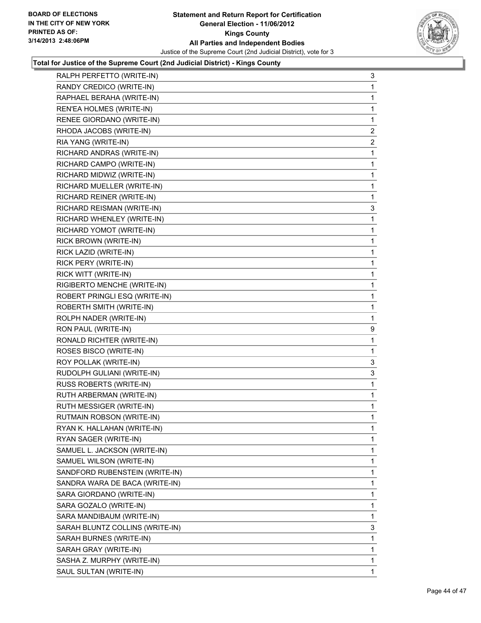

| RALPH PERFETTO (WRITE-IN)       | 3 |
|---------------------------------|---|
| RANDY CREDICO (WRITE-IN)        | 1 |
| RAPHAEL BERAHA (WRITE-IN)       | 1 |
| REN'EA HOLMES (WRITE-IN)        | 1 |
| RENEE GIORDANO (WRITE-IN)       | 1 |
| RHODA JACOBS (WRITE-IN)         | 2 |
| RIA YANG (WRITE-IN)             | 2 |
| RICHARD ANDRAS (WRITE-IN)       | 1 |
| RICHARD CAMPO (WRITE-IN)        | 1 |
| RICHARD MIDWIZ (WRITE-IN)       | 1 |
| RICHARD MUELLER (WRITE-IN)      | 1 |
| RICHARD REINER (WRITE-IN)       | 1 |
| RICHARD REISMAN (WRITE-IN)      | 3 |
| RICHARD WHENLEY (WRITE-IN)      | 1 |
| RICHARD YOMOT (WRITE-IN)        | 1 |
| RICK BROWN (WRITE-IN)           | 1 |
| RICK LAZID (WRITE-IN)           | 1 |
| RICK PERY (WRITE-IN)            | 1 |
| RICK WITT (WRITE-IN)            | 1 |
| RIGIBERTO MENCHE (WRITE-IN)     | 1 |
| ROBERT PRINGLI ESQ (WRITE-IN)   | 1 |
| ROBERTH SMITH (WRITE-IN)        | 1 |
| ROLPH NADER (WRITE-IN)          | 1 |
| RON PAUL (WRITE-IN)             | 9 |
| RONALD RICHTER (WRITE-IN)       | 1 |
| ROSES BISCO (WRITE-IN)          | 1 |
| ROY POLLAK (WRITE-IN)           | 3 |
| RUDOLPH GULIANI (WRITE-IN)      | 3 |
| RUSS ROBERTS (WRITE-IN)         | 1 |
| RUTH ARBERMAN (WRITE-IN)        | 1 |
| RUTH MESSIGER (WRITE-IN)        | 1 |
| RUTMAIN ROBSON (WRITE-IN)       | 1 |
| RYAN K. HALLAHAN (WRITE-IN)     | 1 |
| RYAN SAGER (WRITE-IN)           | 1 |
| SAMUEL L. JACKSON (WRITE-IN)    | 1 |
| SAMUEL WILSON (WRITE-IN)        | 1 |
| SANDFORD RUBENSTEIN (WRITE-IN)  | 1 |
| SANDRA WARA DE BACA (WRITE-IN)  | 1 |
| SARA GIORDANO (WRITE-IN)        | 1 |
| SARA GOZALO (WRITE-IN)          | 1 |
| SARA MANDIBAUM (WRITE-IN)       | 1 |
| SARAH BLUNTZ COLLINS (WRITE-IN) | 3 |
| SARAH BURNES (WRITE-IN)         | 1 |
| SARAH GRAY (WRITE-IN)           | 1 |
| SASHA Z. MURPHY (WRITE-IN)      | 1 |
| SAUL SULTAN (WRITE-IN)          | 1 |
|                                 |   |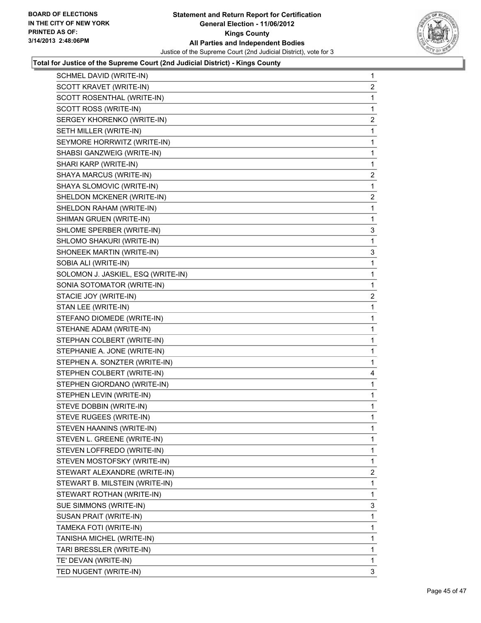

| SCHMEL DAVID (WRITE-IN)            | 1            |
|------------------------------------|--------------|
| SCOTT KRAVET (WRITE-IN)            | 2            |
| SCOTT ROSENTHAL (WRITE-IN)         | 1            |
| SCOTT ROSS (WRITE-IN)              | 1            |
| SERGEY KHORENKO (WRITE-IN)         | 2            |
| SETH MILLER (WRITE-IN)             | 1            |
| SEYMORE HORRWITZ (WRITE-IN)        | 1            |
| SHABSI GANZWEIG (WRITE-IN)         | 1            |
| SHARI KARP (WRITE-IN)              | 1            |
| SHAYA MARCUS (WRITE-IN)            | 2            |
| SHAYA SLOMOVIC (WRITE-IN)          | 1            |
| SHELDON MCKENER (WRITE-IN)         | 2            |
| SHELDON RAHAM (WRITE-IN)           | 1            |
| SHIMAN GRUEN (WRITE-IN)            | 1            |
| SHLOME SPERBER (WRITE-IN)          | 3            |
| SHLOMO SHAKURI (WRITE-IN)          | 1            |
| SHONEEK MARTIN (WRITE-IN)          | 3            |
| SOBIA ALI (WRITE-IN)               | 1            |
| SOLOMON J. JASKIEL, ESQ (WRITE-IN) | 1            |
| SONIA SOTOMATOR (WRITE-IN)         | 1            |
| STACIE JOY (WRITE-IN)              | 2            |
| STAN LEE (WRITE-IN)                | 1            |
| STEFANO DIOMEDE (WRITE-IN)         | 1            |
| STEHANE ADAM (WRITE-IN)            | 1            |
| STEPHAN COLBERT (WRITE-IN)         | 1            |
| STEPHANIE A. JONE (WRITE-IN)       | 1            |
| STEPHEN A. SONZTER (WRITE-IN)      | 1            |
| STEPHEN COLBERT (WRITE-IN)         | 4            |
| STEPHEN GIORDANO (WRITE-IN)        | $\mathbf{1}$ |
| STEPHEN LEVIN (WRITE-IN)           | 1            |
| STEVE DOBBIN (WRITE-IN)            | 1            |
| STEVE RUGEES (WRITE-IN)            | 1            |
| STEVEN HAANINS (WRITE-IN)          | 1            |
| STEVEN L. GREENE (WRITE-IN)        | 1            |
| STEVEN LOFFREDO (WRITE-IN)         | 1            |
| STEVEN MOSTOFSKY (WRITE-IN)        | 1            |
| STEWART ALEXANDRE (WRITE-IN)       | 2            |
| STEWART B. MILSTEIN (WRITE-IN)     | 1            |
| STEWART ROTHAN (WRITE-IN)          | 1            |
| SUE SIMMONS (WRITE-IN)             | 3            |
| SUSAN PRAIT (WRITE-IN)             | 1            |
| TAMEKA FOTI (WRITE-IN)             | 1            |
| TANISHA MICHEL (WRITE-IN)          | 1            |
| TARI BRESSLER (WRITE-IN)           | 1            |
| TE' DEVAN (WRITE-IN)               | 1            |
| TED NUGENT (WRITE-IN)              | 3            |
|                                    |              |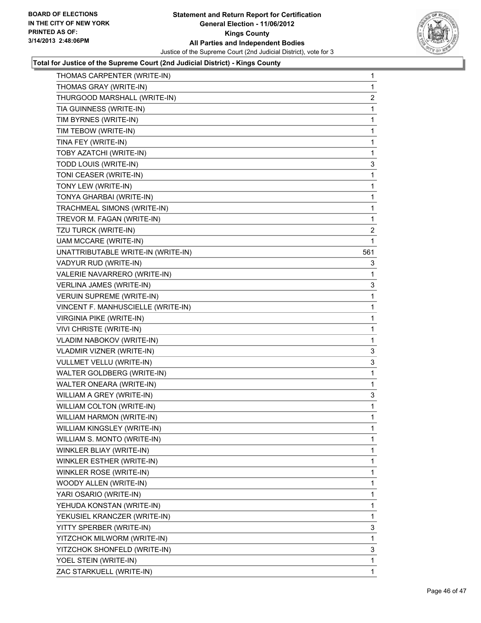

| THOMAS CARPENTER (WRITE-IN)        | $\mathbf 1$    |
|------------------------------------|----------------|
| THOMAS GRAY (WRITE-IN)             | 1              |
| THURGOOD MARSHALL (WRITE-IN)       | $\overline{c}$ |
| TIA GUINNESS (WRITE-IN)            | 1              |
| TIM BYRNES (WRITE-IN)              | 1              |
| TIM TEBOW (WRITE-IN)               | 1              |
| TINA FEY (WRITE-IN)                | 1              |
| TOBY AZATCHI (WRITE-IN)            | 1              |
| TODD LOUIS (WRITE-IN)              | 3              |
| TONI CEASER (WRITE-IN)             | 1              |
| TONY LEW (WRITE-IN)                | 1              |
| TONYA GHARBAI (WRITE-IN)           | 1              |
| TRACHMEAL SIMONS (WRITE-IN)        | 1              |
| TREVOR M. FAGAN (WRITE-IN)         | 1              |
| TZU TURCK (WRITE-IN)               | 2              |
| <b>UAM MCCARE (WRITE-IN)</b>       | 1              |
| UNATTRIBUTABLE WRITE-IN (WRITE-IN) | 561            |
| VADYUR RUD (WRITE-IN)              | 3              |
| VALERIE NAVARRERO (WRITE-IN)       | 1              |
| VERLINA JAMES (WRITE-IN)           | 3              |
| <b>VERUIN SUPREME (WRITE-IN)</b>   | 1              |
| VINCENT F. MANHUSCIELLE (WRITE-IN) | 1              |
| <b>VIRGINIA PIKE (WRITE-IN)</b>    | 1              |
| VIVI CHRISTE (WRITE-IN)            | 1              |
| VLADIM NABOKOV (WRITE-IN)          | 1              |
| <b>VLADMIR VIZNER (WRITE-IN)</b>   | 3              |
| <b>VULLMET VELLU (WRITE-IN)</b>    | 3              |
| WALTER GOLDBERG (WRITE-IN)         | 1              |
| <b>WALTER ONEARA (WRITE-IN)</b>    | 1              |
| WILLIAM A GREY (WRITE-IN)          | 3              |
| WILLIAM COLTON (WRITE-IN)          | 1              |
| WILLIAM HARMON (WRITE-IN)          | 1              |
| WILLIAM KINGSLEY (WRITE-IN)        | 1              |
| WILLIAM S. MONTO (WRITE-IN)        | 1              |
| WINKLER BLIAY (WRITE-IN)           | 1              |
| WINKLER ESTHER (WRITE-IN)          | 1              |
| WINKLER ROSE (WRITE-IN)            | 1              |
| WOODY ALLEN (WRITE-IN)             | 1              |
| YARI OSARIO (WRITE-IN)             | 1              |
| YEHUDA KONSTAN (WRITE-IN)          | 1              |
| YEKUSIEL KRANCZER (WRITE-IN)       | 1              |
| YITTY SPERBER (WRITE-IN)           | 3              |
| YITZCHOK MILWORM (WRITE-IN)        | 1              |
| YITZCHOK SHONFELD (WRITE-IN)       | 3              |
| YOEL STEIN (WRITE-IN)              | 1              |
| ZAC STARKUELL (WRITE-IN)           | $\mathbf{1}$   |
|                                    |                |